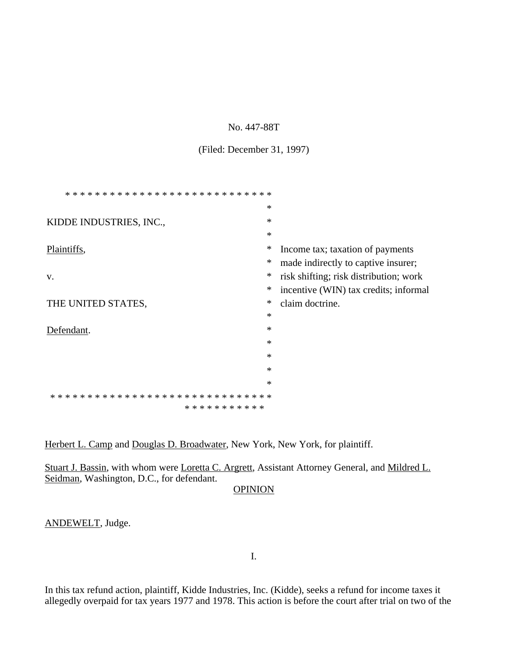#### No. 447-88T

#### (Filed: December 31, 1997)

|                                                          | $\ast$ |                                        |
|----------------------------------------------------------|--------|----------------------------------------|
| KIDDE INDUSTRIES, INC.,                                  | $\ast$ |                                        |
|                                                          | $\ast$ |                                        |
| Plaintiffs,                                              | ∗      | Income tax; taxation of payments       |
|                                                          | ∗      | made indirectly to captive insurer;    |
| V.                                                       | ∗      | risk shifting; risk distribution; work |
|                                                          | $\ast$ | incentive (WIN) tax credits; informal  |
| THE UNITED STATES,                                       | ∗      | claim doctrine.                        |
|                                                          | $\ast$ |                                        |
| Defendant.                                               | $\ast$ |                                        |
|                                                          | $\ast$ |                                        |
|                                                          | $\ast$ |                                        |
|                                                          | $\ast$ |                                        |
|                                                          | $\ast$ |                                        |
| * * * * * * * * * * * * * * * *<br>* * * * * *<br>∗<br>∗ |        |                                        |
| * * * * * * * * * * *                                    |        |                                        |

Herbert L. Camp and Douglas D. Broadwater, New York, New York, for plaintiff.

Stuart J. Bassin, with whom were Loretta C. Argrett, Assistant Attorney General, and Mildred L. Seidman, Washington, D.C., for defendant.

# **OPINION**

ANDEWELT, Judge.

I.

In this tax refund action, plaintiff, Kidde Industries, Inc. (Kidde), seeks a refund for income taxes it allegedly overpaid for tax years 1977 and 1978. This action is before the court after trial on two of the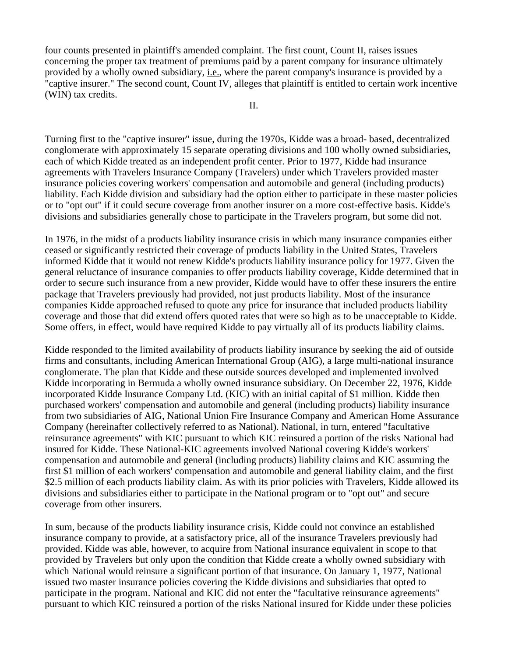four counts presented in plaintiff's amended complaint. The first count, Count II, raises issues concerning the proper tax treatment of premiums paid by a parent company for insurance ultimately provided by a wholly owned subsidiary, i.e., where the parent company's insurance is provided by a "captive insurer." The second count, Count IV, alleges that plaintiff is entitled to certain work incentive (WIN) tax credits.

Turning first to the "captive insurer" issue, during the 1970s, Kidde was a broad- based, decentralized conglomerate with approximately 15 separate operating divisions and 100 wholly owned subsidiaries, each of which Kidde treated as an independent profit center. Prior to 1977, Kidde had insurance agreements with Travelers Insurance Company (Travelers) under which Travelers provided master insurance policies covering workers' compensation and automobile and general (including products) liability. Each Kidde division and subsidiary had the option either to participate in these master policies or to "opt out" if it could secure coverage from another insurer on a more cost-effective basis. Kidde's divisions and subsidiaries generally chose to participate in the Travelers program, but some did not.

In 1976, in the midst of a products liability insurance crisis in which many insurance companies either ceased or significantly restricted their coverage of products liability in the United States, Travelers informed Kidde that it would not renew Kidde's products liability insurance policy for 1977. Given the general reluctance of insurance companies to offer products liability coverage, Kidde determined that in order to secure such insurance from a new provider, Kidde would have to offer these insurers the entire package that Travelers previously had provided, not just products liability. Most of the insurance companies Kidde approached refused to quote any price for insurance that included products liability coverage and those that did extend offers quoted rates that were so high as to be unacceptable to Kidde. Some offers, in effect, would have required Kidde to pay virtually all of its products liability claims.

Kidde responded to the limited availability of products liability insurance by seeking the aid of outside firms and consultants, including American International Group (AIG), a large multi-national insurance conglomerate. The plan that Kidde and these outside sources developed and implemented involved Kidde incorporating in Bermuda a wholly owned insurance subsidiary. On December 22, 1976, Kidde incorporated Kidde Insurance Company Ltd. (KIC) with an initial capital of \$1 million. Kidde then purchased workers' compensation and automobile and general (including products) liability insurance from two subsidiaries of AIG, National Union Fire Insurance Company and American Home Assurance Company (hereinafter collectively referred to as National). National, in turn, entered "facultative reinsurance agreements" with KIC pursuant to which KIC reinsured a portion of the risks National had insured for Kidde. These National-KIC agreements involved National covering Kidde's workers' compensation and automobile and general (including products) liability claims and KIC assuming the first \$1 million of each workers' compensation and automobile and general liability claim, and the first \$2.5 million of each products liability claim. As with its prior policies with Travelers, Kidde allowed its divisions and subsidiaries either to participate in the National program or to "opt out" and secure coverage from other insurers.

In sum, because of the products liability insurance crisis, Kidde could not convince an established insurance company to provide, at a satisfactory price, all of the insurance Travelers previously had provided. Kidde was able, however, to acquire from National insurance equivalent in scope to that provided by Travelers but only upon the condition that Kidde create a wholly owned subsidiary with which National would reinsure a significant portion of that insurance. On January 1, 1977, National issued two master insurance policies covering the Kidde divisions and subsidiaries that opted to participate in the program. National and KIC did not enter the "facultative reinsurance agreements" pursuant to which KIC reinsured a portion of the risks National insured for Kidde under these policies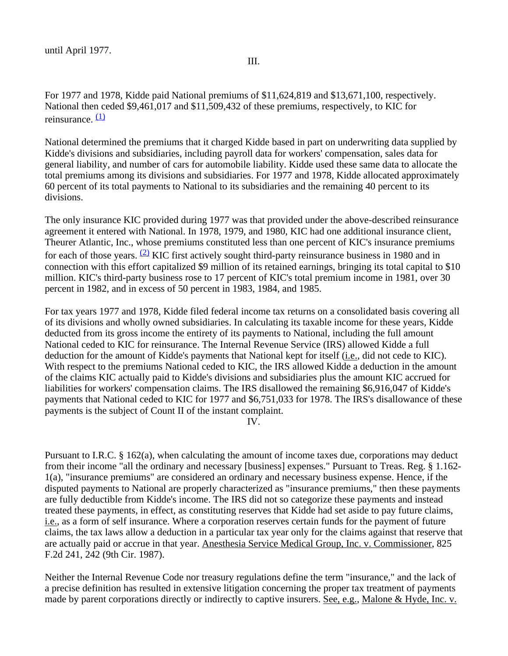III.

For 1977 and 1978, Kidde paid National premiums of \$11,624,819 and \$13,671,100, respectively. National then ceded \$9,461,017 and \$11,509,432 of these premiums, respectively, to KIC for reinsurance.  $(1)$ 

National determined the premiums that it charged Kidde based in part on underwriting data supplied by Kidde's divisions and subsidiaries, including payroll data for workers' compensation, sales data for general liability, and number of cars for automobile liability. Kidde used these same data to allocate the total premiums among its divisions and subsidiaries. For 1977 and 1978, Kidde allocated approximately 60 percent of its total payments to National to its subsidiaries and the remaining 40 percent to its divisions.

The only insurance KIC provided during 1977 was that provided under the above-described reinsurance agreement it entered with National. In 1978, 1979, and 1980, KIC had one additional insurance client, Theurer Atlantic, Inc., whose premiums constituted less than one percent of KIC's insurance premiums for each of those years.  $(2)$  KIC first actively sought third-party reinsurance business in 1980 and in connection with this effort capitalized \$9 million of its retained earnings, bringing its total capital to \$10 million. KIC's third-party business rose to 17 percent of KIC's total premium income in 1981, over 30 percent in 1982, and in excess of 50 percent in 1983, 1984, and 1985.

For tax years 1977 and 1978, Kidde filed federal income tax returns on a consolidated basis covering all of its divisions and wholly owned subsidiaries. In calculating its taxable income for these years, Kidde deducted from its gross income the entirety of its payments to National, including the full amount National ceded to KIC for reinsurance. The Internal Revenue Service (IRS) allowed Kidde a full deduction for the amount of Kidde's payments that National kept for itself (i.e., did not cede to KIC). With respect to the premiums National ceded to KIC, the IRS allowed Kidde a deduction in the amount of the claims KIC actually paid to Kidde's divisions and subsidiaries plus the amount KIC accrued for liabilities for workers' compensation claims. The IRS disallowed the remaining \$6,916,047 of Kidde's payments that National ceded to KIC for 1977 and \$6,751,033 for 1978. The IRS's disallowance of these payments is the subject of Count II of the instant complaint.

IV.

Pursuant to I.R.C. § 162(a), when calculating the amount of income taxes due, corporations may deduct from their income "all the ordinary and necessary [business] expenses." Pursuant to Treas. Reg. § 1.162- 1(a), "insurance premiums" are considered an ordinary and necessary business expense. Hence, if the disputed payments to National are properly characterized as "insurance premiums," then these payments are fully deductible from Kidde's income. The IRS did not so categorize these payments and instead treated these payments, in effect, as constituting reserves that Kidde had set aside to pay future claims, i.e., as a form of self insurance. Where a corporation reserves certain funds for the payment of future claims, the tax laws allow a deduction in a particular tax year only for the claims against that reserve that are actually paid or accrue in that year. Anesthesia Service Medical Group, Inc. v. Commissioner, 825 F.2d 241, 242 (9th Cir. 1987).

Neither the Internal Revenue Code nor treasury regulations define the term "insurance," and the lack of a precise definition has resulted in extensive litigation concerning the proper tax treatment of payments made by parent corporations directly or indirectly to captive insurers. See, e.g., Malone & Hyde, Inc. v.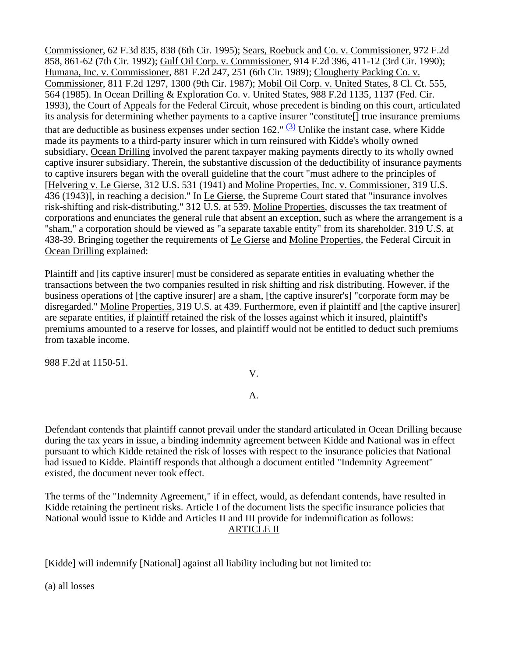Commissioner, 62 F.3d 835, 838 (6th Cir. 1995); Sears, Roebuck and Co. v. Commissioner, 972 F.2d 858, 861-62 (7th Cir. 1992); Gulf Oil Corp. v. Commissioner, 914 F.2d 396, 411-12 (3rd Cir. 1990); Humana, Inc. v. Commissioner, 881 F.2d 247, 251 (6th Cir. 1989); Clougherty Packing Co. v. Commissioner, 811 F.2d 1297, 1300 (9th Cir. 1987); Mobil Oil Corp. v. United States, 8 Cl. Ct. 555, 564 (1985). In Ocean Drilling & Exploration Co. v. United States, 988 F.2d 1135, 1137 (Fed. Cir. 1993), the Court of Appeals for the Federal Circuit, whose precedent is binding on this court, articulated its analysis for determining whether payments to a captive insurer "constitute[] true insurance premiums that are deductible as business expenses under section 162."  $(3)$  Unlike the instant case, where Kidde made its payments to a third-party insurer which in turn reinsured with Kidde's wholly owned subsidiary, Ocean Drilling involved the parent taxpayer making payments directly to its wholly owned captive insurer subsidiary. Therein, the substantive discussion of the deductibility of insurance payments to captive insurers began with the overall guideline that the court "must adhere to the principles of [Helvering v. Le Gierse, 312 U.S. 531 (1941) and Moline Properties, Inc. v. Commissioner, 319 U.S. 436 (1943)], in reaching a decision." In Le Gierse, the Supreme Court stated that "insurance involves risk-shifting and risk-distributing." 312 U.S. at 539. Moline Properties, discusses the tax treatment of corporations and enunciates the general rule that absent an exception, such as where the arrangement is a "sham," a corporation should be viewed as "a separate taxable entity" from its shareholder. 319 U.S. at 438-39. Bringing together the requirements of Le Gierse and Moline Properties, the Federal Circuit in Ocean Drilling explained:

Plaintiff and [its captive insurer] must be considered as separate entities in evaluating whether the transactions between the two companies resulted in risk shifting and risk distributing. However, if the business operations of [the captive insurer] are a sham, [the captive insurer's] "corporate form may be disregarded." Moline Properties, 319 U.S. at 439. Furthermore, even if plaintiff and [the captive insurer] are separate entities, if plaintiff retained the risk of the losses against which it insured, plaintiff's premiums amounted to a reserve for losses, and plaintiff would not be entitled to deduct such premiums from taxable income.

988 F.2d at 1150-51.

V.

## A.

Defendant contends that plaintiff cannot prevail under the standard articulated in Ocean Drilling because during the tax years in issue, a binding indemnity agreement between Kidde and National was in effect pursuant to which Kidde retained the risk of losses with respect to the insurance policies that National had issued to Kidde. Plaintiff responds that although a document entitled "Indemnity Agreement" existed, the document never took effect.

The terms of the "Indemnity Agreement," if in effect, would, as defendant contends, have resulted in Kidde retaining the pertinent risks. Article I of the document lists the specific insurance policies that National would issue to Kidde and Articles II and III provide for indemnification as follows: ARTICLE II

[Kidde] will indemnify [National] against all liability including but not limited to:

(a) all losses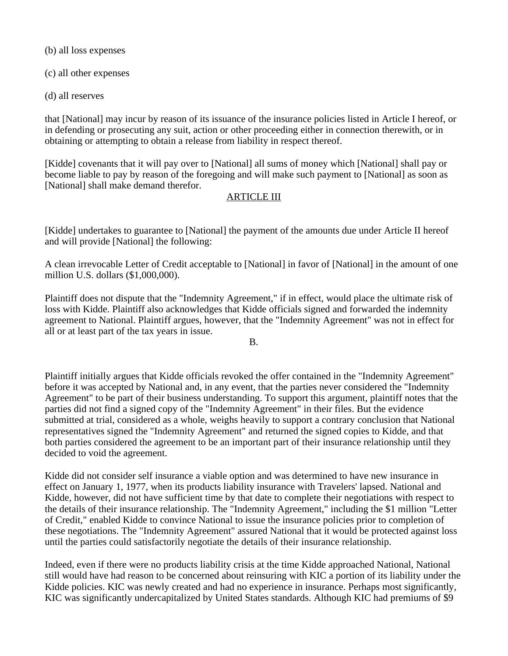(b) all loss expenses

(c) all other expenses

(d) all reserves

that [National] may incur by reason of its issuance of the insurance policies listed in Article I hereof, or in defending or prosecuting any suit, action or other proceeding either in connection therewith, or in obtaining or attempting to obtain a release from liability in respect thereof.

[Kidde] covenants that it will pay over to [National] all sums of money which [National] shall pay or become liable to pay by reason of the foregoing and will make such payment to [National] as soon as [National] shall make demand therefor.

## ARTICLE III

[Kidde] undertakes to guarantee to [National] the payment of the amounts due under Article II hereof and will provide [National] the following:

A clean irrevocable Letter of Credit acceptable to [National] in favor of [National] in the amount of one million U.S. dollars (\$1,000,000).

Plaintiff does not dispute that the "Indemnity Agreement," if in effect, would place the ultimate risk of loss with Kidde. Plaintiff also acknowledges that Kidde officials signed and forwarded the indemnity agreement to National. Plaintiff argues, however, that the "Indemnity Agreement" was not in effect for all or at least part of the tax years in issue.

B.

Plaintiff initially argues that Kidde officials revoked the offer contained in the "Indemnity Agreement" before it was accepted by National and, in any event, that the parties never considered the "Indemnity Agreement" to be part of their business understanding. To support this argument, plaintiff notes that the parties did not find a signed copy of the "Indemnity Agreement" in their files. But the evidence submitted at trial, considered as a whole, weighs heavily to support a contrary conclusion that National representatives signed the "Indemnity Agreement" and returned the signed copies to Kidde, and that both parties considered the agreement to be an important part of their insurance relationship until they decided to void the agreement.

Kidde did not consider self insurance a viable option and was determined to have new insurance in effect on January 1, 1977, when its products liability insurance with Travelers' lapsed. National and Kidde, however, did not have sufficient time by that date to complete their negotiations with respect to the details of their insurance relationship. The "Indemnity Agreement," including the \$1 million "Letter of Credit," enabled Kidde to convince National to issue the insurance policies prior to completion of these negotiations. The "Indemnity Agreement" assured National that it would be protected against loss until the parties could satisfactorily negotiate the details of their insurance relationship.

Indeed, even if there were no products liability crisis at the time Kidde approached National, National still would have had reason to be concerned about reinsuring with KIC a portion of its liability under the Kidde policies. KIC was newly created and had no experience in insurance. Perhaps most significantly, KIC was significantly undercapitalized by United States standards. Although KIC had premiums of \$9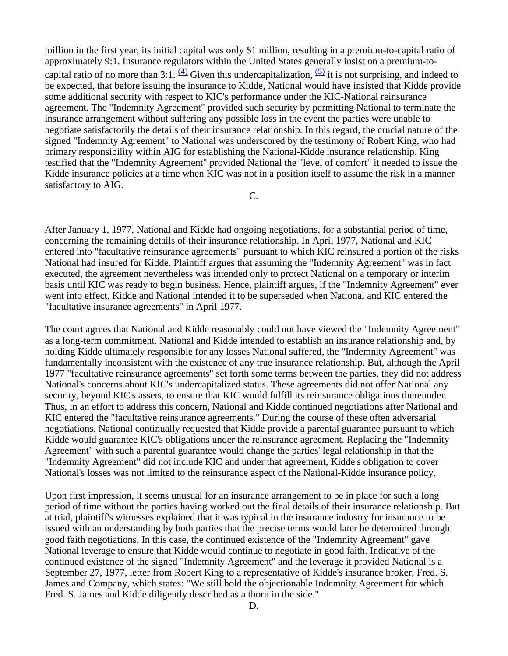million in the first year, its initial capital was only \$1 million, resulting in a premium-to-capital ratio of approximately 9:1. Insurance regulators within the United States generally insist on a premium-tocapital ratio of no more than 3:1.  $\frac{(4)}{4}$  Given this undercapitalization,  $\frac{(5)}{4}$  it is not surprising, and indeed to be expected, that before issuing the insurance to Kidde, National would have insisted that Kidde provide some additional security with respect to KIC's performance under the KIC-National reinsurance agreement. The "Indemnity Agreement" provided such security by permitting National to terminate the insurance arrangement without suffering any possible loss in the event the parties were unable to negotiate satisfactorily the details of their insurance relationship. In this regard, the crucial nature of the signed "Indemnity Agreement" to National was underscored by the testimony of Robert King, who had primary responsibility within AIG for establishing the National-Kidde insurance relationship. King testified that the "Indemnity Agreement" provided National the "level of comfort" it needed to issue the Kidde insurance policies at a time when KIC was not in a position itself to assume the risk in a manner satisfactory to AIG.

C.

After January 1, 1977, National and Kidde had ongoing negotiations, for a substantial period of time, concerning the remaining details of their insurance relationship. In April 1977, National and KIC entered into "facultative reinsurance agreements" pursuant to which KIC reinsured a portion of the risks National had insured for Kidde. Plaintiff argues that assuming the "Indemnity Agreement" was in fact executed, the agreement nevertheless was intended only to protect National on a temporary or interim basis until KIC was ready to begin business. Hence, plaintiff argues, if the "Indemnity Agreement" ever went into effect, Kidde and National intended it to be superseded when National and KIC entered the "facultative insurance agreements" in April 1977.

The court agrees that National and Kidde reasonably could not have viewed the "Indemnity Agreement" as a long-term commitment. National and Kidde intended to establish an insurance relationship and, by holding Kidde ultimately responsible for any losses National suffered, the "Indemnity Agreement" was fundamentally inconsistent with the existence of any true insurance relationship. But, although the April 1977 "facultative reinsurance agreements" set forth some terms between the parties, they did not address National's concerns about KIC's undercapitalized status. These agreements did not offer National any security, beyond KIC's assets, to ensure that KIC would fulfill its reinsurance obligations thereunder. Thus, in an effort to address this concern, National and Kidde continued negotiations after National and KIC entered the "facultative reinsurance agreements." During the course of these often adversarial negotiations, National continually requested that Kidde provide a parental guarantee pursuant to which Kidde would guarantee KIC's obligations under the reinsurance agreement. Replacing the "Indemnity Agreement" with such a parental guarantee would change the parties' legal relationship in that the "Indemnity Agreement" did not include KIC and under that agreement, Kidde's obligation to cover National's losses was not limited to the reinsurance aspect of the National-Kidde insurance policy.

Upon first impression, it seems unusual for an insurance arrangement to be in place for such a long period of time without the parties having worked out the final details of their insurance relationship. But at trial, plaintiff's witnesses explained that it was typical in the insurance industry for insurance to be issued with an understanding by both parties that the precise terms would later be determined through good faith negotiations. In this case, the continued existence of the "Indemnity Agreement" gave National leverage to ensure that Kidde would continue to negotiate in good faith. Indicative of the continued existence of the signed "Indemnity Agreement" and the leverage it provided National is a September 27, 1977, letter from Robert King to a representative of Kidde's insurance broker, Fred. S. James and Company, which states: "We still hold the objectionable Indemnity Agreement for which Fred. S. James and Kidde diligently described as a thorn in the side."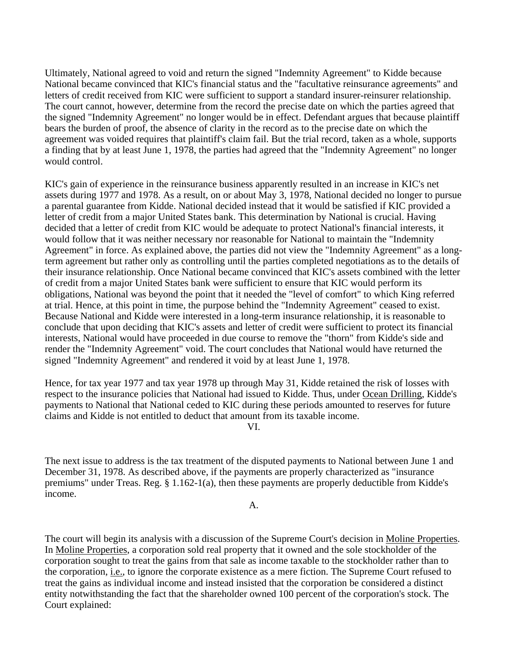Ultimately, National agreed to void and return the signed "Indemnity Agreement" to Kidde because National became convinced that KIC's financial status and the "facultative reinsurance agreements" and letters of credit received from KIC were sufficient to support a standard insurer-reinsurer relationship. The court cannot, however, determine from the record the precise date on which the parties agreed that the signed "Indemnity Agreement" no longer would be in effect. Defendant argues that because plaintiff bears the burden of proof, the absence of clarity in the record as to the precise date on which the agreement was voided requires that plaintiff's claim fail. But the trial record, taken as a whole, supports a finding that by at least June 1, 1978, the parties had agreed that the "Indemnity Agreement" no longer would control.

KIC's gain of experience in the reinsurance business apparently resulted in an increase in KIC's net assets during 1977 and 1978. As a result, on or about May 3, 1978, National decided no longer to pursue a parental guarantee from Kidde. National decided instead that it would be satisfied if KIC provided a letter of credit from a major United States bank. This determination by National is crucial. Having decided that a letter of credit from KIC would be adequate to protect National's financial interests, it would follow that it was neither necessary nor reasonable for National to maintain the "Indemnity Agreement" in force. As explained above, the parties did not view the "Indemnity Agreement" as a longterm agreement but rather only as controlling until the parties completed negotiations as to the details of their insurance relationship. Once National became convinced that KIC's assets combined with the letter of credit from a major United States bank were sufficient to ensure that KIC would perform its obligations, National was beyond the point that it needed the "level of comfort" to which King referred at trial. Hence, at this point in time, the purpose behind the "Indemnity Agreement" ceased to exist. Because National and Kidde were interested in a long-term insurance relationship, it is reasonable to conclude that upon deciding that KIC's assets and letter of credit were sufficient to protect its financial interests, National would have proceeded in due course to remove the "thorn" from Kidde's side and render the "Indemnity Agreement" void. The court concludes that National would have returned the signed "Indemnity Agreement" and rendered it void by at least June 1, 1978.

Hence, for tax year 1977 and tax year 1978 up through May 31, Kidde retained the risk of losses with respect to the insurance policies that National had issued to Kidde. Thus, under Ocean Drilling, Kidde's payments to National that National ceded to KIC during these periods amounted to reserves for future claims and Kidde is not entitled to deduct that amount from its taxable income.

VI.

The next issue to address is the tax treatment of the disputed payments to National between June 1 and December 31, 1978. As described above, if the payments are properly characterized as "insurance premiums" under Treas. Reg. § 1.162-1(a), then these payments are properly deductible from Kidde's income.

A.

The court will begin its analysis with a discussion of the Supreme Court's decision in Moline Properties. In Moline Properties, a corporation sold real property that it owned and the sole stockholder of the corporation sought to treat the gains from that sale as income taxable to the stockholder rather than to the corporation, i.e., to ignore the corporate existence as a mere fiction. The Supreme Court refused to treat the gains as individual income and instead insisted that the corporation be considered a distinct entity notwithstanding the fact that the shareholder owned 100 percent of the corporation's stock. The Court explained: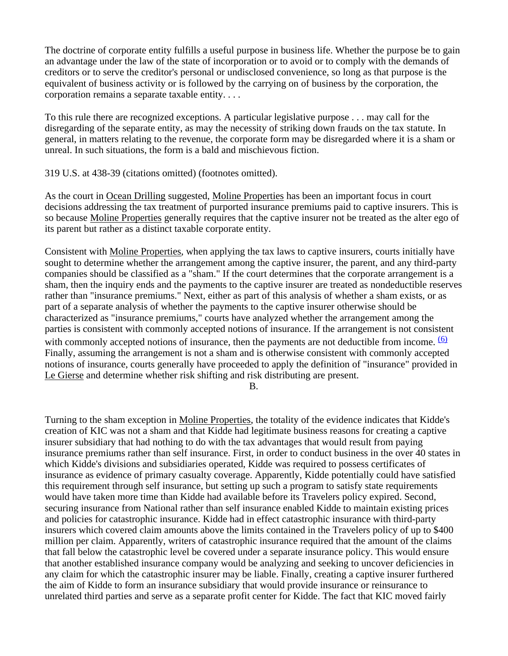The doctrine of corporate entity fulfills a useful purpose in business life. Whether the purpose be to gain an advantage under the law of the state of incorporation or to avoid or to comply with the demands of creditors or to serve the creditor's personal or undisclosed convenience, so long as that purpose is the equivalent of business activity or is followed by the carrying on of business by the corporation, the corporation remains a separate taxable entity. . . .

To this rule there are recognized exceptions. A particular legislative purpose . . . may call for the disregarding of the separate entity, as may the necessity of striking down frauds on the tax statute. In general, in matters relating to the revenue, the corporate form may be disregarded where it is a sham or unreal. In such situations, the form is a bald and mischievous fiction.

319 U.S. at 438-39 (citations omitted) (footnotes omitted).

As the court in Ocean Drilling suggested, Moline Properties has been an important focus in court decisions addressing the tax treatment of purported insurance premiums paid to captive insurers. This is so because Moline Properties generally requires that the captive insurer not be treated as the alter ego of its parent but rather as a distinct taxable corporate entity.

Consistent with Moline Properties, when applying the tax laws to captive insurers, courts initially have sought to determine whether the arrangement among the captive insurer, the parent, and any third-party companies should be classified as a "sham." If the court determines that the corporate arrangement is a sham, then the inquiry ends and the payments to the captive insurer are treated as nondeductible reserves rather than "insurance premiums." Next, either as part of this analysis of whether a sham exists, or as part of a separate analysis of whether the payments to the captive insurer otherwise should be characterized as "insurance premiums," courts have analyzed whether the arrangement among the parties is consistent with commonly accepted notions of insurance. If the arrangement is not consistent with commonly accepted notions of insurance, then the payments are not deductible from income.  $\frac{(6)}{2}$ Finally, assuming the arrangement is not a sham and is otherwise consistent with commonly accepted notions of insurance, courts generally have proceeded to apply the definition of "insurance" provided in Le Gierse and determine whether risk shifting and risk distributing are present.

B.

Turning to the sham exception in Moline Properties, the totality of the evidence indicates that Kidde's creation of KIC was not a sham and that Kidde had legitimate business reasons for creating a captive insurer subsidiary that had nothing to do with the tax advantages that would result from paying insurance premiums rather than self insurance. First, in order to conduct business in the over 40 states in which Kidde's divisions and subsidiaries operated, Kidde was required to possess certificates of insurance as evidence of primary casualty coverage. Apparently, Kidde potentially could have satisfied this requirement through self insurance, but setting up such a program to satisfy state requirements would have taken more time than Kidde had available before its Travelers policy expired. Second, securing insurance from National rather than self insurance enabled Kidde to maintain existing prices and policies for catastrophic insurance. Kidde had in effect catastrophic insurance with third-party insurers which covered claim amounts above the limits contained in the Travelers policy of up to \$400 million per claim. Apparently, writers of catastrophic insurance required that the amount of the claims that fall below the catastrophic level be covered under a separate insurance policy. This would ensure that another established insurance company would be analyzing and seeking to uncover deficiencies in any claim for which the catastrophic insurer may be liable. Finally, creating a captive insurer furthered the aim of Kidde to form an insurance subsidiary that would provide insurance or reinsurance to unrelated third parties and serve as a separate profit center for Kidde. The fact that KIC moved fairly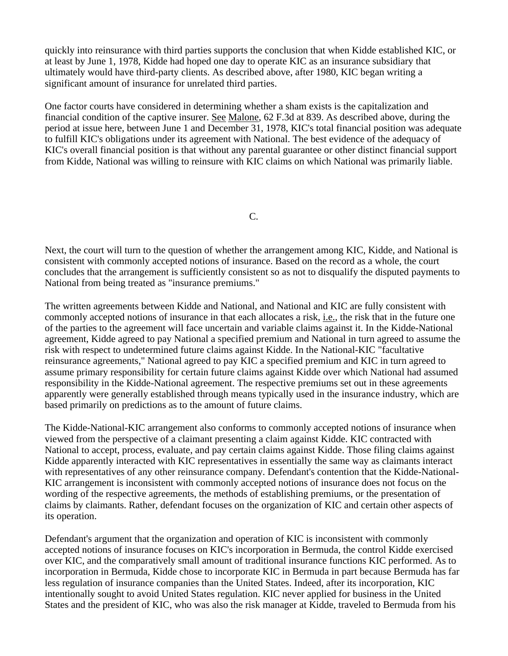quickly into reinsurance with third parties supports the conclusion that when Kidde established KIC, or at least by June 1, 1978, Kidde had hoped one day to operate KIC as an insurance subsidiary that ultimately would have third-party clients. As described above, after 1980, KIC began writing a significant amount of insurance for unrelated third parties.

One factor courts have considered in determining whether a sham exists is the capitalization and financial condition of the captive insurer. See Malone, 62 F.3d at 839. As described above, during the period at issue here, between June 1 and December 31, 1978, KIC's total financial position was adequate to fulfill KIC's obligations under its agreement with National. The best evidence of the adequacy of KIC's overall financial position is that without any parental guarantee or other distinct financial support from Kidde, National was willing to reinsure with KIC claims on which National was primarily liable.

C.

Next, the court will turn to the question of whether the arrangement among KIC, Kidde, and National is consistent with commonly accepted notions of insurance. Based on the record as a whole, the court concludes that the arrangement is sufficiently consistent so as not to disqualify the disputed payments to National from being treated as "insurance premiums."

The written agreements between Kidde and National, and National and KIC are fully consistent with commonly accepted notions of insurance in that each allocates a risk, i.e., the risk that in the future one of the parties to the agreement will face uncertain and variable claims against it. In the Kidde-National agreement, Kidde agreed to pay National a specified premium and National in turn agreed to assume the risk with respect to undetermined future claims against Kidde. In the National-KIC "facultative reinsurance agreements," National agreed to pay KIC a specified premium and KIC in turn agreed to assume primary responsibility for certain future claims against Kidde over which National had assumed responsibility in the Kidde-National agreement. The respective premiums set out in these agreements apparently were generally established through means typically used in the insurance industry, which are based primarily on predictions as to the amount of future claims.

The Kidde-National-KIC arrangement also conforms to commonly accepted notions of insurance when viewed from the perspective of a claimant presenting a claim against Kidde. KIC contracted with National to accept, process, evaluate, and pay certain claims against Kidde. Those filing claims against Kidde apparently interacted with KIC representatives in essentially the same way as claimants interact with representatives of any other reinsurance company. Defendant's contention that the Kidde-National-KIC arrangement is inconsistent with commonly accepted notions of insurance does not focus on the wording of the respective agreements, the methods of establishing premiums, or the presentation of claims by claimants. Rather, defendant focuses on the organization of KIC and certain other aspects of its operation.

Defendant's argument that the organization and operation of KIC is inconsistent with commonly accepted notions of insurance focuses on KIC's incorporation in Bermuda, the control Kidde exercised over KIC, and the comparatively small amount of traditional insurance functions KIC performed. As to incorporation in Bermuda, Kidde chose to incorporate KIC in Bermuda in part because Bermuda has far less regulation of insurance companies than the United States. Indeed, after its incorporation, KIC intentionally sought to avoid United States regulation. KIC never applied for business in the United States and the president of KIC, who was also the risk manager at Kidde, traveled to Bermuda from his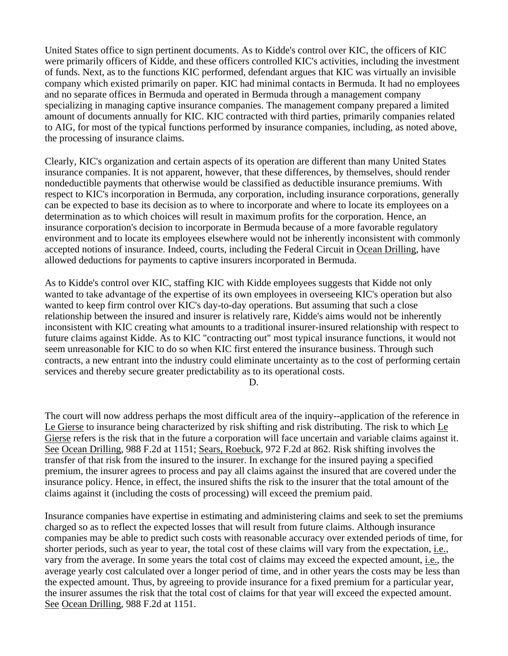United States office to sign pertinent documents. As to Kidde's control over KIC, the officers of KIC were primarily officers of Kidde, and these officers controlled KIC's activities, including the investment of funds. Next, as to the functions KIC performed, defendant argues that KIC was virtually an invisible company which existed primarily on paper. KIC had minimal contacts in Bermuda. It had no employees and no separate offices in Bermuda and operated in Bermuda through a management company specializing in managing captive insurance companies. The management company prepared a limited amount of documents annually for KIC. KIC contracted with third parties, primarily companies related to AIG, for most of the typical functions performed by insurance companies, including, as noted above, the processing of insurance claims.

Clearly, KIC's organization and certain aspects of its operation are different than many United States insurance companies. It is not apparent, however, that these differences, by themselves, should render nondeductible payments that otherwise would be classified as deductible insurance premiums. With respect to KIC's incorporation in Bermuda, any corporation, including insurance corporations, generally can be expected to base its decision as to where to incorporate and where to locate its employees on a determination as to which choices will result in maximum profits for the corporation. Hence, an insurance corporation's decision to incorporate in Bermuda because of a more favorable regulatory environment and to locate its employees elsewhere would not be inherently inconsistent with commonly accepted notions of insurance. Indeed, courts, including the Federal Circuit in Ocean Drilling, have allowed deductions for payments to captive insurers incorporated in Bermuda.

As to Kidde's control over KIC, staffing KIC with Kidde employees suggests that Kidde not only wanted to take advantage of the expertise of its own employees in overseeing KIC's operation but also wanted to keep firm control over KIC's day-to-day operations. But assuming that such a close relationship between the insured and insurer is relatively rare, Kidde's aims would not be inherently inconsistent with KIC creating what amounts to a traditional insurer-insured relationship with respect to future claims against Kidde. As to KIC "contracting out" most typical insurance functions, it would not seem unreasonable for KIC to do so when KIC first entered the insurance business. Through such contracts, a new entrant into the industry could eliminate uncertainty as to the cost of performing certain services and thereby secure greater predictability as to its operational costs.

D.

The court will now address perhaps the most difficult area of the inquiry--application of the reference in Le Gierse to insurance being characterized by risk shifting and risk distributing. The risk to which Le Gierse refers is the risk that in the future a corporation will face uncertain and variable claims against it. See Ocean Drilling, 988 F.2d at 1151; Sears, Roebuck, 972 F.2d at 862. Risk shifting involves the transfer of that risk from the insured to the insurer. In exchange for the insured paying a specified premium, the insurer agrees to process and pay all claims against the insured that are covered under the insurance policy. Hence, in effect, the insured shifts the risk to the insurer that the total amount of the claims against it (including the costs of processing) will exceed the premium paid.

Insurance companies have expertise in estimating and administering claims and seek to set the premiums charged so as to reflect the expected losses that will result from future claims. Although insurance companies may be able to predict such costs with reasonable accuracy over extended periods of time, for shorter periods, such as year to year, the total cost of these claims will vary from the expectation, i.e., vary from the average. In some years the total cost of claims may exceed the expected amount, i.e., the average yearly cost calculated over a longer period of time, and in other years the costs may be less than the expected amount. Thus, by agreeing to provide insurance for a fixed premium for a particular year, the insurer assumes the risk that the total cost of claims for that year will exceed the expected amount. See Ocean Drilling, 988 F.2d at 1151.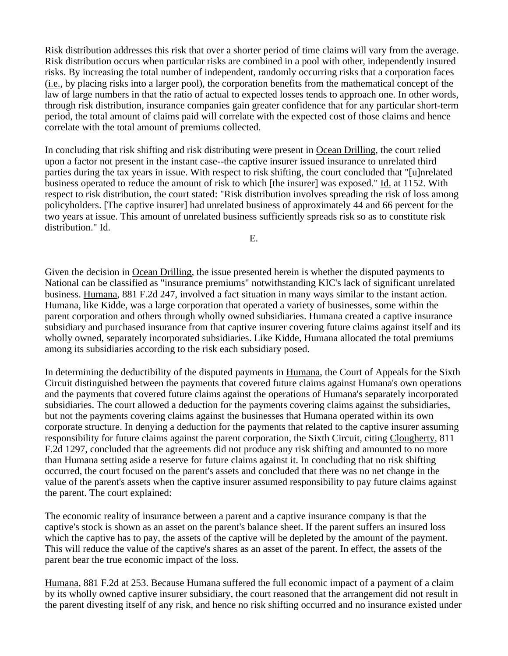Risk distribution addresses this risk that over a shorter period of time claims will vary from the average. Risk distribution occurs when particular risks are combined in a pool with other, independently insured risks. By increasing the total number of independent, randomly occurring risks that a corporation faces (i.e., by placing risks into a larger pool), the corporation benefits from the mathematical concept of the law of large numbers in that the ratio of actual to expected losses tends to approach one. In other words, through risk distribution, insurance companies gain greater confidence that for any particular short-term period, the total amount of claims paid will correlate with the expected cost of those claims and hence correlate with the total amount of premiums collected.

In concluding that risk shifting and risk distributing were present in Ocean Drilling, the court relied upon a factor not present in the instant case--the captive insurer issued insurance to unrelated third parties during the tax years in issue. With respect to risk shifting, the court concluded that "[u]nrelated business operated to reduce the amount of risk to which [the insurer] was exposed." Id. at 1152. With respect to risk distribution, the court stated: "Risk distribution involves spreading the risk of loss among policyholders. [The captive insurer] had unrelated business of approximately 44 and 66 percent for the two years at issue. This amount of unrelated business sufficiently spreads risk so as to constitute risk distribution." Id.

E.

Given the decision in Ocean Drilling, the issue presented herein is whether the disputed payments to National can be classified as "insurance premiums" notwithstanding KIC's lack of significant unrelated business. Humana, 881 F.2d 247, involved a fact situation in many ways similar to the instant action. Humana, like Kidde, was a large corporation that operated a variety of businesses, some within the parent corporation and others through wholly owned subsidiaries. Humana created a captive insurance subsidiary and purchased insurance from that captive insurer covering future claims against itself and its wholly owned, separately incorporated subsidiaries. Like Kidde, Humana allocated the total premiums among its subsidiaries according to the risk each subsidiary posed.

In determining the deductibility of the disputed payments in Humana, the Court of Appeals for the Sixth Circuit distinguished between the payments that covered future claims against Humana's own operations and the payments that covered future claims against the operations of Humana's separately incorporated subsidiaries. The court allowed a deduction for the payments covering claims against the subsidiaries, but not the payments covering claims against the businesses that Humana operated within its own corporate structure. In denying a deduction for the payments that related to the captive insurer assuming responsibility for future claims against the parent corporation, the Sixth Circuit, citing Clougherty, 811 F.2d 1297, concluded that the agreements did not produce any risk shifting and amounted to no more than Humana setting aside a reserve for future claims against it. In concluding that no risk shifting occurred, the court focused on the parent's assets and concluded that there was no net change in the value of the parent's assets when the captive insurer assumed responsibility to pay future claims against the parent. The court explained:

The economic reality of insurance between a parent and a captive insurance company is that the captive's stock is shown as an asset on the parent's balance sheet. If the parent suffers an insured loss which the captive has to pay, the assets of the captive will be depleted by the amount of the payment. This will reduce the value of the captive's shares as an asset of the parent. In effect, the assets of the parent bear the true economic impact of the loss.

Humana, 881 F.2d at 253. Because Humana suffered the full economic impact of a payment of a claim by its wholly owned captive insurer subsidiary, the court reasoned that the arrangement did not result in the parent divesting itself of any risk, and hence no risk shifting occurred and no insurance existed under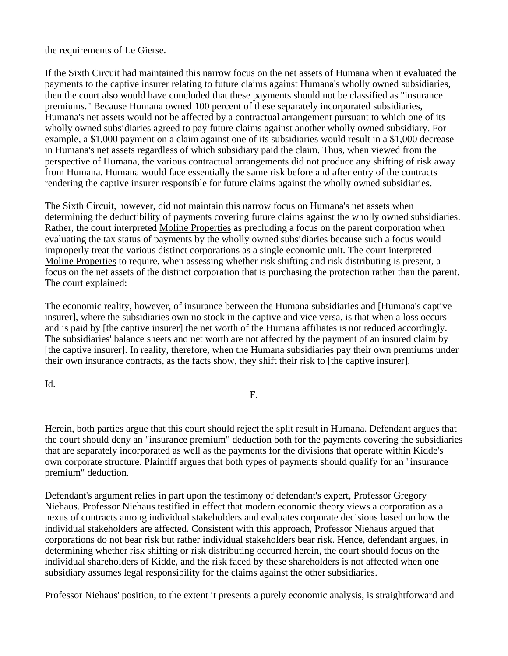the requirements of Le Gierse.

If the Sixth Circuit had maintained this narrow focus on the net assets of Humana when it evaluated the payments to the captive insurer relating to future claims against Humana's wholly owned subsidiaries, then the court also would have concluded that these payments should not be classified as "insurance premiums." Because Humana owned 100 percent of these separately incorporated subsidiaries, Humana's net assets would not be affected by a contractual arrangement pursuant to which one of its wholly owned subsidiaries agreed to pay future claims against another wholly owned subsidiary. For example, a \$1,000 payment on a claim against one of its subsidiaries would result in a \$1,000 decrease in Humana's net assets regardless of which subsidiary paid the claim. Thus, when viewed from the perspective of Humana, the various contractual arrangements did not produce any shifting of risk away from Humana. Humana would face essentially the same risk before and after entry of the contracts rendering the captive insurer responsible for future claims against the wholly owned subsidiaries.

The Sixth Circuit, however, did not maintain this narrow focus on Humana's net assets when determining the deductibility of payments covering future claims against the wholly owned subsidiaries. Rather, the court interpreted Moline Properties as precluding a focus on the parent corporation when evaluating the tax status of payments by the wholly owned subsidiaries because such a focus would improperly treat the various distinct corporations as a single economic unit. The court interpreted Moline Properties to require, when assessing whether risk shifting and risk distributing is present, a focus on the net assets of the distinct corporation that is purchasing the protection rather than the parent. The court explained:

The economic reality, however, of insurance between the Humana subsidiaries and [Humana's captive insurer], where the subsidiaries own no stock in the captive and vice versa, is that when a loss occurs and is paid by [the captive insurer] the net worth of the Humana affiliates is not reduced accordingly. The subsidiaries' balance sheets and net worth are not affected by the payment of an insured claim by [the captive insurer]. In reality, therefore, when the Humana subsidiaries pay their own premiums under their own insurance contracts, as the facts show, they shift their risk to [the captive insurer].

Id.

F.

Herein, both parties argue that this court should reject the split result in Humana. Defendant argues that the court should deny an "insurance premium" deduction both for the payments covering the subsidiaries that are separately incorporated as well as the payments for the divisions that operate within Kidde's own corporate structure. Plaintiff argues that both types of payments should qualify for an "insurance premium" deduction.

Defendant's argument relies in part upon the testimony of defendant's expert, Professor Gregory Niehaus. Professor Niehaus testified in effect that modern economic theory views a corporation as a nexus of contracts among individual stakeholders and evaluates corporate decisions based on how the individual stakeholders are affected. Consistent with this approach, Professor Niehaus argued that corporations do not bear risk but rather individual stakeholders bear risk. Hence, defendant argues, in determining whether risk shifting or risk distributing occurred herein, the court should focus on the individual shareholders of Kidde, and the risk faced by these shareholders is not affected when one subsidiary assumes legal responsibility for the claims against the other subsidiaries.

Professor Niehaus' position, to the extent it presents a purely economic analysis, is straightforward and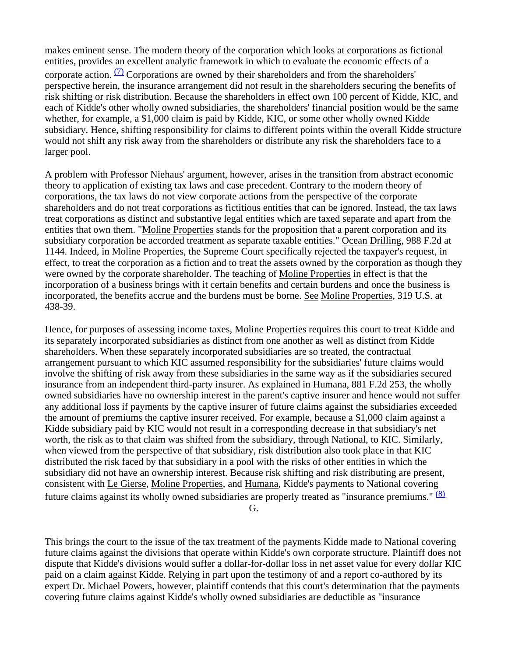makes eminent sense. The modern theory of the corporation which looks at corporations as fictional entities, provides an excellent analytic framework in which to evaluate the economic effects of a corporate action.  $(7)$  Corporations are owned by their shareholders and from the shareholders' perspective herein, the insurance arrangement did not result in the shareholders securing the benefits of risk shifting or risk distribution. Because the shareholders in effect own 100 percent of Kidde, KIC, and each of Kidde's other wholly owned subsidiaries, the shareholders' financial position would be the same whether, for example, a \$1,000 claim is paid by Kidde, KIC, or some other wholly owned Kidde subsidiary. Hence, shifting responsibility for claims to different points within the overall Kidde structure would not shift any risk away from the shareholders or distribute any risk the shareholders face to a larger pool.

A problem with Professor Niehaus' argument, however, arises in the transition from abstract economic theory to application of existing tax laws and case precedent. Contrary to the modern theory of corporations, the tax laws do not view corporate actions from the perspective of the corporate shareholders and do not treat corporations as fictitious entities that can be ignored. Instead, the tax laws treat corporations as distinct and substantive legal entities which are taxed separate and apart from the entities that own them. "Moline Properties stands for the proposition that a parent corporation and its subsidiary corporation be accorded treatment as separate taxable entities." Ocean Drilling, 988 F.2d at 1144. Indeed, in Moline Properties, the Supreme Court specifically rejected the taxpayer's request, in effect, to treat the corporation as a fiction and to treat the assets owned by the corporation as though they were owned by the corporate shareholder. The teaching of Moline Properties in effect is that the incorporation of a business brings with it certain benefits and certain burdens and once the business is incorporated, the benefits accrue and the burdens must be borne. See Moline Properties, 319 U.S. at 438-39.

Hence, for purposes of assessing income taxes, Moline Properties requires this court to treat Kidde and its separately incorporated subsidiaries as distinct from one another as well as distinct from Kidde shareholders. When these separately incorporated subsidiaries are so treated, the contractual arrangement pursuant to which KIC assumed responsibility for the subsidiaries' future claims would involve the shifting of risk away from these subsidiaries in the same way as if the subsidiaries secured insurance from an independent third-party insurer. As explained in Humana, 881 F.2d 253, the wholly owned subsidiaries have no ownership interest in the parent's captive insurer and hence would not suffer any additional loss if payments by the captive insurer of future claims against the subsidiaries exceeded the amount of premiums the captive insurer received. For example, because a \$1,000 claim against a Kidde subsidiary paid by KIC would not result in a corresponding decrease in that subsidiary's net worth, the risk as to that claim was shifted from the subsidiary, through National, to KIC. Similarly, when viewed from the perspective of that subsidiary, risk distribution also took place in that KIC distributed the risk faced by that subsidiary in a pool with the risks of other entities in which the subsidiary did not have an ownership interest. Because risk shifting and risk distributing are present, consistent with Le Gierse, Moline Properties, and Humana, Kidde's payments to National covering future claims against its wholly owned subsidiaries are properly treated as "insurance premiums."  $(8)$ 

G.

This brings the court to the issue of the tax treatment of the payments Kidde made to National covering future claims against the divisions that operate within Kidde's own corporate structure. Plaintiff does not dispute that Kidde's divisions would suffer a dollar-for-dollar loss in net asset value for every dollar KIC paid on a claim against Kidde. Relying in part upon the testimony of and a report co-authored by its expert Dr. Michael Powers, however, plaintiff contends that this court's determination that the payments covering future claims against Kidde's wholly owned subsidiaries are deductible as "insurance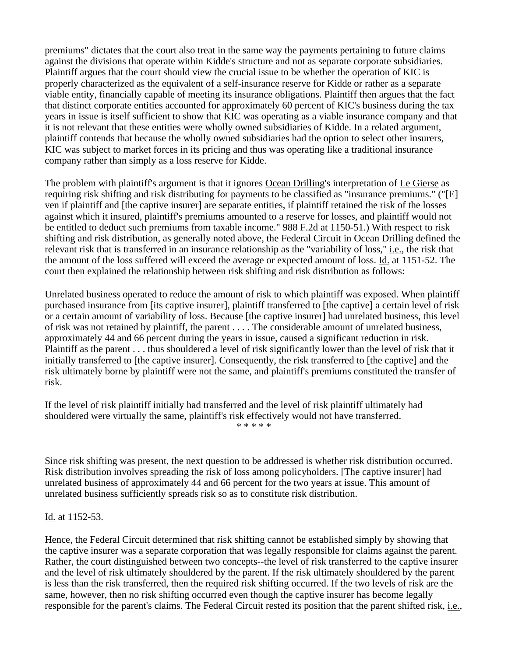premiums" dictates that the court also treat in the same way the payments pertaining to future claims against the divisions that operate within Kidde's structure and not as separate corporate subsidiaries. Plaintiff argues that the court should view the crucial issue to be whether the operation of KIC is properly characterized as the equivalent of a self-insurance reserve for Kidde or rather as a separate viable entity, financially capable of meeting its insurance obligations. Plaintiff then argues that the fact that distinct corporate entities accounted for approximately 60 percent of KIC's business during the tax years in issue is itself sufficient to show that KIC was operating as a viable insurance company and that it is not relevant that these entities were wholly owned subsidiaries of Kidde. In a related argument, plaintiff contends that because the wholly owned subsidiaries had the option to select other insurers, KIC was subject to market forces in its pricing and thus was operating like a traditional insurance company rather than simply as a loss reserve for Kidde.

The problem with plaintiff's argument is that it ignores Ocean Drilling's interpretation of Le Gierse as requiring risk shifting and risk distributing for payments to be classified as "insurance premiums." ("[E] ven if plaintiff and [the captive insurer] are separate entities, if plaintiff retained the risk of the losses against which it insured, plaintiff's premiums amounted to a reserve for losses, and plaintiff would not be entitled to deduct such premiums from taxable income." 988 F.2d at 1150-51.) With respect to risk shifting and risk distribution, as generally noted above, the Federal Circuit in Ocean Drilling defined the relevant risk that is transferred in an insurance relationship as the "variability of loss," *i.e.*, the risk that the amount of the loss suffered will exceed the average or expected amount of loss. Id. at 1151-52. The court then explained the relationship between risk shifting and risk distribution as follows:

Unrelated business operated to reduce the amount of risk to which plaintiff was exposed. When plaintiff purchased insurance from [its captive insurer], plaintiff transferred to [the captive] a certain level of risk or a certain amount of variability of loss. Because [the captive insurer] had unrelated business, this level of risk was not retained by plaintiff, the parent . . . . The considerable amount of unrelated business, approximately 44 and 66 percent during the years in issue, caused a significant reduction in risk. Plaintiff as the parent . . . thus shouldered a level of risk significantly lower than the level of risk that it initially transferred to [the captive insurer]. Consequently, the risk transferred to [the captive] and the risk ultimately borne by plaintiff were not the same, and plaintiff's premiums constituted the transfer of risk.

If the level of risk plaintiff initially had transferred and the level of risk plaintiff ultimately had shouldered were virtually the same, plaintiff's risk effectively would not have transferred. \* \* \* \* \*

Since risk shifting was present, the next question to be addressed is whether risk distribution occurred. Risk distribution involves spreading the risk of loss among policyholders. [The captive insurer] had unrelated business of approximately 44 and 66 percent for the two years at issue. This amount of unrelated business sufficiently spreads risk so as to constitute risk distribution.

Id. at 1152-53.

Hence, the Federal Circuit determined that risk shifting cannot be established simply by showing that the captive insurer was a separate corporation that was legally responsible for claims against the parent. Rather, the court distinguished between two concepts--the level of risk transferred to the captive insurer and the level of risk ultimately shouldered by the parent. If the risk ultimately shouldered by the parent is less than the risk transferred, then the required risk shifting occurred. If the two levels of risk are the same, however, then no risk shifting occurred even though the captive insurer has become legally responsible for the parent's claims. The Federal Circuit rested its position that the parent shifted risk, i.e.,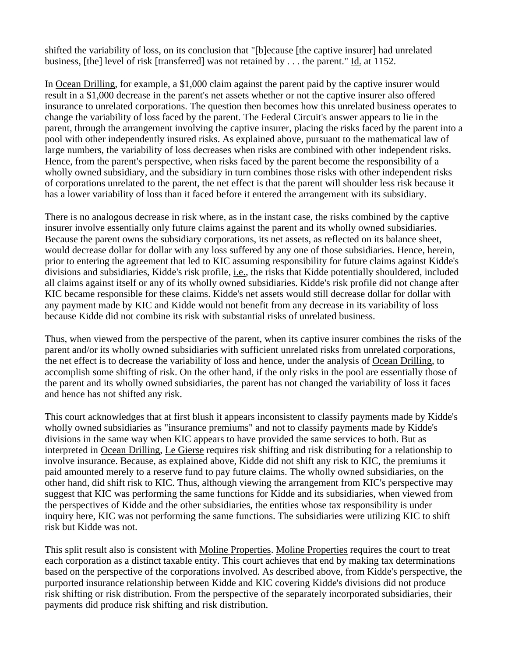shifted the variability of loss, on its conclusion that "[b]ecause [the captive insurer] had unrelated business, [the] level of risk [transferred] was not retained by . . . the parent." Id. at 1152.

In Ocean Drilling, for example, a \$1,000 claim against the parent paid by the captive insurer would result in a \$1,000 decrease in the parent's net assets whether or not the captive insurer also offered insurance to unrelated corporations. The question then becomes how this unrelated business operates to change the variability of loss faced by the parent. The Federal Circuit's answer appears to lie in the parent, through the arrangement involving the captive insurer, placing the risks faced by the parent into a pool with other independently insured risks. As explained above, pursuant to the mathematical law of large numbers, the variability of loss decreases when risks are combined with other independent risks. Hence, from the parent's perspective, when risks faced by the parent become the responsibility of a wholly owned subsidiary, and the subsidiary in turn combines those risks with other independent risks of corporations unrelated to the parent, the net effect is that the parent will shoulder less risk because it has a lower variability of loss than it faced before it entered the arrangement with its subsidiary.

There is no analogous decrease in risk where, as in the instant case, the risks combined by the captive insurer involve essentially only future claims against the parent and its wholly owned subsidiaries. Because the parent owns the subsidiary corporations, its net assets, as reflected on its balance sheet, would decrease dollar for dollar with any loss suffered by any one of those subsidiaries. Hence, herein, prior to entering the agreement that led to KIC assuming responsibility for future claims against Kidde's divisions and subsidiaries, Kidde's risk profile, i.e., the risks that Kidde potentially shouldered, included all claims against itself or any of its wholly owned subsidiaries. Kidde's risk profile did not change after KIC became responsible for these claims. Kidde's net assets would still decrease dollar for dollar with any payment made by KIC and Kidde would not benefit from any decrease in its variability of loss because Kidde did not combine its risk with substantial risks of unrelated business.

Thus, when viewed from the perspective of the parent, when its captive insurer combines the risks of the parent and/or its wholly owned subsidiaries with sufficient unrelated risks from unrelated corporations, the net effect is to decrease the variability of loss and hence, under the analysis of Ocean Drilling, to accomplish some shifting of risk. On the other hand, if the only risks in the pool are essentially those of the parent and its wholly owned subsidiaries, the parent has not changed the variability of loss it faces and hence has not shifted any risk.

This court acknowledges that at first blush it appears inconsistent to classify payments made by Kidde's wholly owned subsidiaries as "insurance premiums" and not to classify payments made by Kidde's divisions in the same way when KIC appears to have provided the same services to both. But as interpreted in Ocean Drilling, Le Gierse requires risk shifting and risk distributing for a relationship to involve insurance. Because, as explained above, Kidde did not shift any risk to KIC, the premiums it paid amounted merely to a reserve fund to pay future claims. The wholly owned subsidiaries, on the other hand, did shift risk to KIC. Thus, although viewing the arrangement from KIC's perspective may suggest that KIC was performing the same functions for Kidde and its subsidiaries, when viewed from the perspectives of Kidde and the other subsidiaries, the entities whose tax responsibility is under inquiry here, KIC was not performing the same functions. The subsidiaries were utilizing KIC to shift risk but Kidde was not.

This split result also is consistent with Moline Properties. Moline Properties requires the court to treat each corporation as a distinct taxable entity. This court achieves that end by making tax determinations based on the perspective of the corporations involved. As described above, from Kidde's perspective, the purported insurance relationship between Kidde and KIC covering Kidde's divisions did not produce risk shifting or risk distribution. From the perspective of the separately incorporated subsidiaries, their payments did produce risk shifting and risk distribution.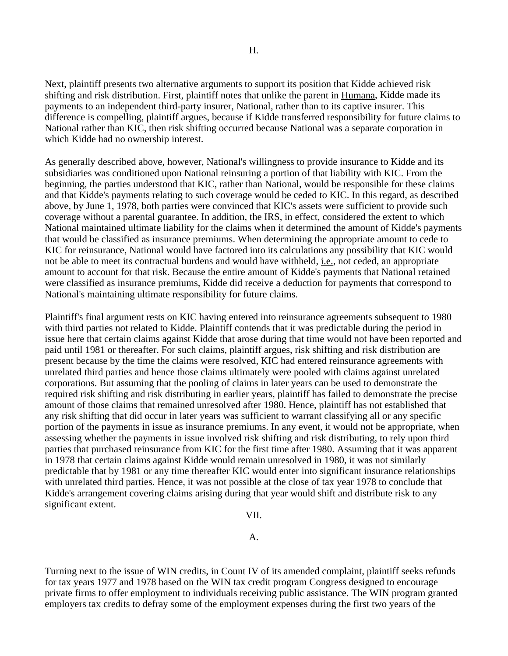Next, plaintiff presents two alternative arguments to support its position that Kidde achieved risk shifting and risk distribution. First, plaintiff notes that unlike the parent in Humana, Kidde made its payments to an independent third-party insurer, National, rather than to its captive insurer. This difference is compelling, plaintiff argues, because if Kidde transferred responsibility for future claims to National rather than KIC, then risk shifting occurred because National was a separate corporation in which Kidde had no ownership interest.

As generally described above, however, National's willingness to provide insurance to Kidde and its subsidiaries was conditioned upon National reinsuring a portion of that liability with KIC. From the beginning, the parties understood that KIC, rather than National, would be responsible for these claims and that Kidde's payments relating to such coverage would be ceded to KIC. In this regard, as described above, by June 1, 1978, both parties were convinced that KIC's assets were sufficient to provide such coverage without a parental guarantee. In addition, the IRS, in effect, considered the extent to which National maintained ultimate liability for the claims when it determined the amount of Kidde's payments that would be classified as insurance premiums. When determining the appropriate amount to cede to KIC for reinsurance, National would have factored into its calculations any possibility that KIC would not be able to meet its contractual burdens and would have withheld, *i.e.*, not ceded, an appropriate amount to account for that risk. Because the entire amount of Kidde's payments that National retained were classified as insurance premiums, Kidde did receive a deduction for payments that correspond to National's maintaining ultimate responsibility for future claims.

Plaintiff's final argument rests on KIC having entered into reinsurance agreements subsequent to 1980 with third parties not related to Kidde. Plaintiff contends that it was predictable during the period in issue here that certain claims against Kidde that arose during that time would not have been reported and paid until 1981 or thereafter. For such claims, plaintiff argues, risk shifting and risk distribution are present because by the time the claims were resolved, KIC had entered reinsurance agreements with unrelated third parties and hence those claims ultimately were pooled with claims against unrelated corporations. But assuming that the pooling of claims in later years can be used to demonstrate the required risk shifting and risk distributing in earlier years, plaintiff has failed to demonstrate the precise amount of those claims that remained unresolved after 1980. Hence, plaintiff has not established that any risk shifting that did occur in later years was sufficient to warrant classifying all or any specific portion of the payments in issue as insurance premiums. In any event, it would not be appropriate, when assessing whether the payments in issue involved risk shifting and risk distributing, to rely upon third parties that purchased reinsurance from KIC for the first time after 1980. Assuming that it was apparent in 1978 that certain claims against Kidde would remain unresolved in 1980, it was not similarly predictable that by 1981 or any time thereafter KIC would enter into significant insurance relationships with unrelated third parties. Hence, it was not possible at the close of tax year 1978 to conclude that Kidde's arrangement covering claims arising during that year would shift and distribute risk to any significant extent.

VII.

A.

Turning next to the issue of WIN credits, in Count IV of its amended complaint, plaintiff seeks refunds for tax years 1977 and 1978 based on the WIN tax credit program Congress designed to encourage private firms to offer employment to individuals receiving public assistance. The WIN program granted employers tax credits to defray some of the employment expenses during the first two years of the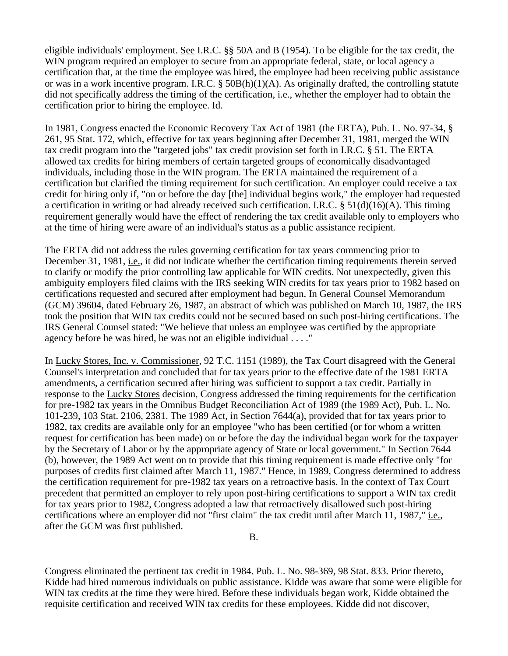eligible individuals' employment. See I.R.C. §§ 50A and B (1954). To be eligible for the tax credit, the WIN program required an employer to secure from an appropriate federal, state, or local agency a certification that, at the time the employee was hired, the employee had been receiving public assistance or was in a work incentive program. I.R.C. § 50B(h)(1)(A). As originally drafted, the controlling statute did not specifically address the timing of the certification, i.e., whether the employer had to obtain the certification prior to hiring the employee. Id.

In 1981, Congress enacted the Economic Recovery Tax Act of 1981 (the ERTA), Pub. L. No. 97-34, § 261, 95 Stat. 172, which, effective for tax years beginning after December 31, 1981, merged the WIN tax credit program into the "targeted jobs" tax credit provision set forth in I.R.C. § 51. The ERTA allowed tax credits for hiring members of certain targeted groups of economically disadvantaged individuals, including those in the WIN program. The ERTA maintained the requirement of a certification but clarified the timing requirement for such certification. An employer could receive a tax credit for hiring only if, "on or before the day [the] individual begins work," the employer had requested a certification in writing or had already received such certification. I.R.C. §  $51(d)(16)(A)$ . This timing requirement generally would have the effect of rendering the tax credit available only to employers who at the time of hiring were aware of an individual's status as a public assistance recipient.

The ERTA did not address the rules governing certification for tax years commencing prior to December 31, 1981, i.e., it did not indicate whether the certification timing requirements therein served to clarify or modify the prior controlling law applicable for WIN credits. Not unexpectedly, given this ambiguity employers filed claims with the IRS seeking WIN credits for tax years prior to 1982 based on certifications requested and secured after employment had begun. In General Counsel Memorandum (GCM) 39604, dated February 26, 1987, an abstract of which was published on March 10, 1987, the IRS took the position that WIN tax credits could not be secured based on such post-hiring certifications. The IRS General Counsel stated: "We believe that unless an employee was certified by the appropriate agency before he was hired, he was not an eligible individual . . . ."

In Lucky Stores, Inc. v. Commissioner, 92 T.C. 1151 (1989), the Tax Court disagreed with the General Counsel's interpretation and concluded that for tax years prior to the effective date of the 1981 ERTA amendments, a certification secured after hiring was sufficient to support a tax credit. Partially in response to the Lucky Stores decision, Congress addressed the timing requirements for the certification for pre-1982 tax years in the Omnibus Budget Reconciliation Act of 1989 (the 1989 Act), Pub. L. No. 101-239, 103 Stat. 2106, 2381. The 1989 Act, in Section 7644(a), provided that for tax years prior to 1982, tax credits are available only for an employee "who has been certified (or for whom a written request for certification has been made) on or before the day the individual began work for the taxpayer by the Secretary of Labor or by the appropriate agency of State or local government." In Section 7644 (b), however, the 1989 Act went on to provide that this timing requirement is made effective only "for purposes of credits first claimed after March 11, 1987." Hence, in 1989, Congress determined to address the certification requirement for pre-1982 tax years on a retroactive basis. In the context of Tax Court precedent that permitted an employer to rely upon post-hiring certifications to support a WIN tax credit for tax years prior to 1982, Congress adopted a law that retroactively disallowed such post-hiring certifications where an employer did not "first claim" the tax credit until after March 11, 1987," i.e., after the GCM was first published.

Congress eliminated the pertinent tax credit in 1984. Pub. L. No. 98-369, 98 Stat. 833. Prior thereto, Kidde had hired numerous individuals on public assistance. Kidde was aware that some were eligible for WIN tax credits at the time they were hired. Before these individuals began work, Kidde obtained the requisite certification and received WIN tax credits for these employees. Kidde did not discover,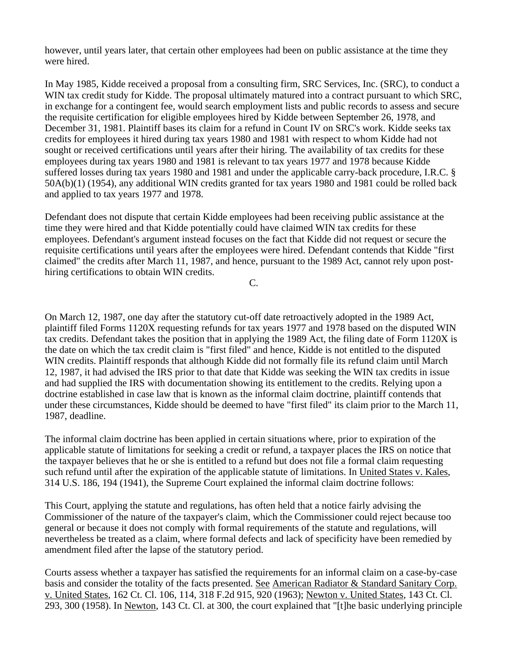however, until years later, that certain other employees had been on public assistance at the time they were hired.

In May 1985, Kidde received a proposal from a consulting firm, SRC Services, Inc. (SRC), to conduct a WIN tax credit study for Kidde. The proposal ultimately matured into a contract pursuant to which SRC, in exchange for a contingent fee, would search employment lists and public records to assess and secure the requisite certification for eligible employees hired by Kidde between September 26, 1978, and December 31, 1981. Plaintiff bases its claim for a refund in Count IV on SRC's work. Kidde seeks tax credits for employees it hired during tax years 1980 and 1981 with respect to whom Kidde had not sought or received certifications until years after their hiring. The availability of tax credits for these employees during tax years 1980 and 1981 is relevant to tax years 1977 and 1978 because Kidde suffered losses during tax years 1980 and 1981 and under the applicable carry-back procedure, I.R.C. § 50A(b)(1) (1954), any additional WIN credits granted for tax years 1980 and 1981 could be rolled back and applied to tax years 1977 and 1978.

Defendant does not dispute that certain Kidde employees had been receiving public assistance at the time they were hired and that Kidde potentially could have claimed WIN tax credits for these employees. Defendant's argument instead focuses on the fact that Kidde did not request or secure the requisite certifications until years after the employees were hired. Defendant contends that Kidde "first claimed" the credits after March 11, 1987, and hence, pursuant to the 1989 Act, cannot rely upon posthiring certifications to obtain WIN credits.

C.

On March 12, 1987, one day after the statutory cut-off date retroactively adopted in the 1989 Act, plaintiff filed Forms 1120X requesting refunds for tax years 1977 and 1978 based on the disputed WIN tax credits. Defendant takes the position that in applying the 1989 Act, the filing date of Form 1120X is the date on which the tax credit claim is "first filed" and hence, Kidde is not entitled to the disputed WIN credits. Plaintiff responds that although Kidde did not formally file its refund claim until March 12, 1987, it had advised the IRS prior to that date that Kidde was seeking the WIN tax credits in issue and had supplied the IRS with documentation showing its entitlement to the credits. Relying upon a doctrine established in case law that is known as the informal claim doctrine, plaintiff contends that under these circumstances, Kidde should be deemed to have "first filed" its claim prior to the March 11, 1987, deadline.

The informal claim doctrine has been applied in certain situations where, prior to expiration of the applicable statute of limitations for seeking a credit or refund, a taxpayer places the IRS on notice that the taxpayer believes that he or she is entitled to a refund but does not file a formal claim requesting such refund until after the expiration of the applicable statute of limitations. In United States v. Kales, 314 U.S. 186, 194 (1941), the Supreme Court explained the informal claim doctrine follows:

This Court, applying the statute and regulations, has often held that a notice fairly advising the Commissioner of the nature of the taxpayer's claim, which the Commissioner could reject because too general or because it does not comply with formal requirements of the statute and regulations, will nevertheless be treated as a claim, where formal defects and lack of specificity have been remedied by amendment filed after the lapse of the statutory period.

Courts assess whether a taxpayer has satisfied the requirements for an informal claim on a case-by-case basis and consider the totality of the facts presented. See American Radiator & Standard Sanitary Corp. v. United States, 162 Ct. Cl. 106, 114, 318 F.2d 915, 920 (1963); Newton v. United States, 143 Ct. Cl. 293, 300 (1958). In Newton, 143 Ct. Cl. at 300, the court explained that "[t]he basic underlying principle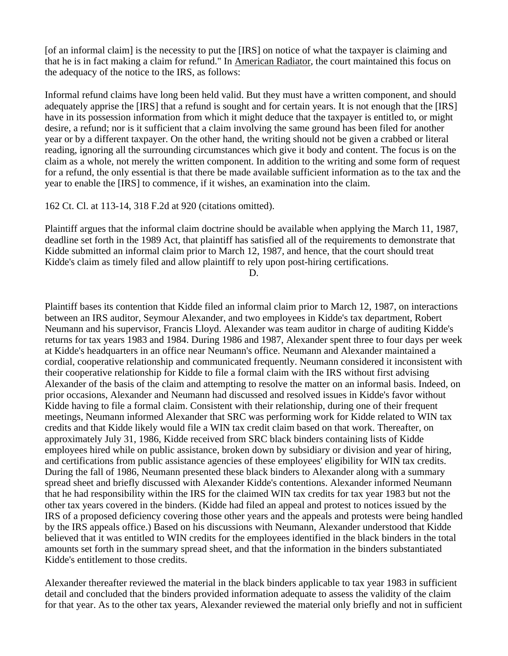[of an informal claim] is the necessity to put the [IRS] on notice of what the taxpayer is claiming and that he is in fact making a claim for refund." In American Radiator, the court maintained this focus on the adequacy of the notice to the IRS, as follows:

Informal refund claims have long been held valid. But they must have a written component, and should adequately apprise the [IRS] that a refund is sought and for certain years. It is not enough that the [IRS] have in its possession information from which it might deduce that the taxpayer is entitled to, or might desire, a refund; nor is it sufficient that a claim involving the same ground has been filed for another year or by a different taxpayer. On the other hand, the writing should not be given a crabbed or literal reading, ignoring all the surrounding circumstances which give it body and content. The focus is on the claim as a whole, not merely the written component. In addition to the writing and some form of request for a refund, the only essential is that there be made available sufficient information as to the tax and the year to enable the [IRS] to commence, if it wishes, an examination into the claim.

162 Ct. Cl. at 113-14, 318 F.2d at 920 (citations omitted).

Plaintiff argues that the informal claim doctrine should be available when applying the March 11, 1987, deadline set forth in the 1989 Act, that plaintiff has satisfied all of the requirements to demonstrate that Kidde submitted an informal claim prior to March 12, 1987, and hence, that the court should treat Kidde's claim as timely filed and allow plaintiff to rely upon post-hiring certifications.

D.

Plaintiff bases its contention that Kidde filed an informal claim prior to March 12, 1987, on interactions between an IRS auditor, Seymour Alexander, and two employees in Kidde's tax department, Robert Neumann and his supervisor, Francis Lloyd. Alexander was team auditor in charge of auditing Kidde's returns for tax years 1983 and 1984. During 1986 and 1987, Alexander spent three to four days per week at Kidde's headquarters in an office near Neumann's office. Neumann and Alexander maintained a cordial, cooperative relationship and communicated frequently. Neumann considered it inconsistent with their cooperative relationship for Kidde to file a formal claim with the IRS without first advising Alexander of the basis of the claim and attempting to resolve the matter on an informal basis. Indeed, on prior occasions, Alexander and Neumann had discussed and resolved issues in Kidde's favor without Kidde having to file a formal claim. Consistent with their relationship, during one of their frequent meetings, Neumann informed Alexander that SRC was performing work for Kidde related to WIN tax credits and that Kidde likely would file a WIN tax credit claim based on that work. Thereafter, on approximately July 31, 1986, Kidde received from SRC black binders containing lists of Kidde employees hired while on public assistance, broken down by subsidiary or division and year of hiring, and certifications from public assistance agencies of these employees' eligibility for WIN tax credits. During the fall of 1986, Neumann presented these black binders to Alexander along with a summary spread sheet and briefly discussed with Alexander Kidde's contentions. Alexander informed Neumann that he had responsibility within the IRS for the claimed WIN tax credits for tax year 1983 but not the other tax years covered in the binders. (Kidde had filed an appeal and protest to notices issued by the IRS of a proposed deficiency covering those other years and the appeals and protests were being handled by the IRS appeals office.) Based on his discussions with Neumann, Alexander understood that Kidde believed that it was entitled to WIN credits for the employees identified in the black binders in the total amounts set forth in the summary spread sheet, and that the information in the binders substantiated Kidde's entitlement to those credits.

Alexander thereafter reviewed the material in the black binders applicable to tax year 1983 in sufficient detail and concluded that the binders provided information adequate to assess the validity of the claim for that year. As to the other tax years, Alexander reviewed the material only briefly and not in sufficient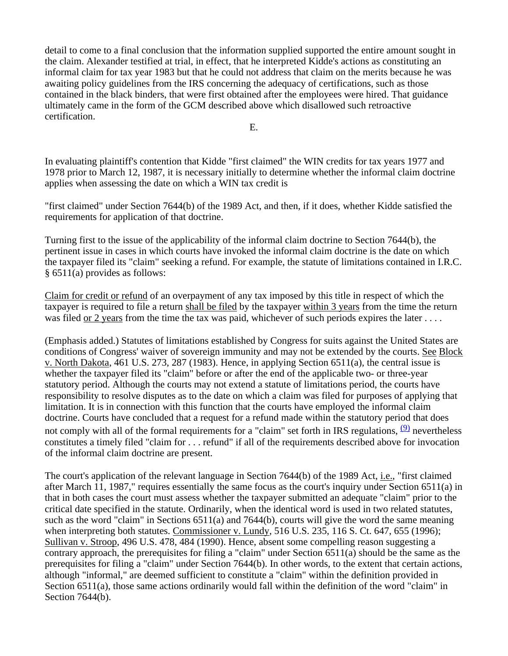detail to come to a final conclusion that the information supplied supported the entire amount sought in the claim. Alexander testified at trial, in effect, that he interpreted Kidde's actions as constituting an informal claim for tax year 1983 but that he could not address that claim on the merits because he was awaiting policy guidelines from the IRS concerning the adequacy of certifications, such as those contained in the black binders, that were first obtained after the employees were hired. That guidance ultimately came in the form of the GCM described above which disallowed such retroactive certification.

E.

In evaluating plaintiff's contention that Kidde "first claimed" the WIN credits for tax years 1977 and 1978 prior to March 12, 1987, it is necessary initially to determine whether the informal claim doctrine applies when assessing the date on which a WIN tax credit is

"first claimed" under Section 7644(b) of the 1989 Act, and then, if it does, whether Kidde satisfied the requirements for application of that doctrine.

Turning first to the issue of the applicability of the informal claim doctrine to Section 7644(b), the pertinent issue in cases in which courts have invoked the informal claim doctrine is the date on which the taxpayer filed its "claim" seeking a refund. For example, the statute of limitations contained in I.R.C. § 6511(a) provides as follows:

Claim for credit or refund of an overpayment of any tax imposed by this title in respect of which the taxpayer is required to file a return shall be filed by the taxpayer within 3 years from the time the return was filed or 2 years from the time the tax was paid, whichever of such periods expires the later . . . .

(Emphasis added.) Statutes of limitations established by Congress for suits against the United States are conditions of Congress' waiver of sovereign immunity and may not be extended by the courts. See Block v. North Dakota, 461 U.S. 273, 287 (1983). Hence, in applying Section 6511(a), the central issue is whether the taxpayer filed its "claim" before or after the end of the applicable two- or three-year statutory period. Although the courts may not extend a statute of limitations period, the courts have responsibility to resolve disputes as to the date on which a claim was filed for purposes of applying that limitation. It is in connection with this function that the courts have employed the informal claim doctrine. Courts have concluded that a request for a refund made within the statutory period that does not comply with all of the formal requirements for a "claim" set forth in IRS regulations,  $\frac{(9)}{9}$  nevertheless constitutes a timely filed "claim for . . . refund" if all of the requirements described above for invocation of the informal claim doctrine are present.

The court's application of the relevant language in Section 7644(b) of the 1989 Act, *i.e.*, "first claimed after March 11, 1987," requires essentially the same focus as the court's inquiry under Section 6511(a) in that in both cases the court must assess whether the taxpayer submitted an adequate "claim" prior to the critical date specified in the statute. Ordinarily, when the identical word is used in two related statutes, such as the word "claim" in Sections 6511(a) and 7644(b), courts will give the word the same meaning when interpreting both statutes. Commissioner v. Lundy, 516 U.S. 235, 116 S. Ct. 647, 655 (1996); Sullivan v. Stroop, 496 U.S. 478, 484 (1990). Hence, absent some compelling reason suggesting a contrary approach, the prerequisites for filing a "claim" under Section 6511(a) should be the same as the prerequisites for filing a "claim" under Section 7644(b). In other words, to the extent that certain actions, although "informal," are deemed sufficient to constitute a "claim" within the definition provided in Section 6511(a), those same actions ordinarily would fall within the definition of the word "claim" in Section 7644(b).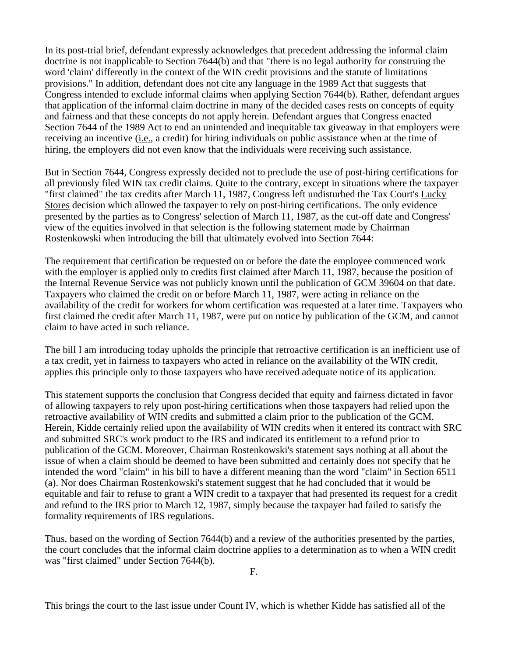In its post-trial brief, defendant expressly acknowledges that precedent addressing the informal claim doctrine is not inapplicable to Section 7644(b) and that "there is no legal authority for construing the word 'claim' differently in the context of the WIN credit provisions and the statute of limitations provisions." In addition, defendant does not cite any language in the 1989 Act that suggests that Congress intended to exclude informal claims when applying Section 7644(b). Rather, defendant argues that application of the informal claim doctrine in many of the decided cases rests on concepts of equity and fairness and that these concepts do not apply herein. Defendant argues that Congress enacted Section 7644 of the 1989 Act to end an unintended and inequitable tax giveaway in that employers were receiving an incentive (i.e., a credit) for hiring individuals on public assistance when at the time of hiring, the employers did not even know that the individuals were receiving such assistance.

But in Section 7644, Congress expressly decided not to preclude the use of post-hiring certifications for all previously filed WIN tax credit claims. Quite to the contrary, except in situations where the taxpayer "first claimed" the tax credits after March 11, 1987, Congress left undisturbed the Tax Court's Lucky Stores decision which allowed the taxpayer to rely on post-hiring certifications. The only evidence presented by the parties as to Congress' selection of March 11, 1987, as the cut-off date and Congress' view of the equities involved in that selection is the following statement made by Chairman Rostenkowski when introducing the bill that ultimately evolved into Section 7644:

The requirement that certification be requested on or before the date the employee commenced work with the employer is applied only to credits first claimed after March 11, 1987, because the position of the Internal Revenue Service was not publicly known until the publication of GCM 39604 on that date. Taxpayers who claimed the credit on or before March 11, 1987, were acting in reliance on the availability of the credit for workers for whom certification was requested at a later time. Taxpayers who first claimed the credit after March 11, 1987, were put on notice by publication of the GCM, and cannot claim to have acted in such reliance.

The bill I am introducing today upholds the principle that retroactive certification is an inefficient use of a tax credit, yet in fairness to taxpayers who acted in reliance on the availability of the WIN credit, applies this principle only to those taxpayers who have received adequate notice of its application.

This statement supports the conclusion that Congress decided that equity and fairness dictated in favor of allowing taxpayers to rely upon post-hiring certifications when those taxpayers had relied upon the retroactive availability of WIN credits and submitted a claim prior to the publication of the GCM. Herein, Kidde certainly relied upon the availability of WIN credits when it entered its contract with SRC and submitted SRC's work product to the IRS and indicated its entitlement to a refund prior to publication of the GCM. Moreover, Chairman Rostenkowski's statement says nothing at all about the issue of when a claim should be deemed to have been submitted and certainly does not specify that he intended the word "claim" in his bill to have a different meaning than the word "claim" in Section 6511 (a). Nor does Chairman Rostenkowski's statement suggest that he had concluded that it would be equitable and fair to refuse to grant a WIN credit to a taxpayer that had presented its request for a credit and refund to the IRS prior to March 12, 1987, simply because the taxpayer had failed to satisfy the formality requirements of IRS regulations.

Thus, based on the wording of Section 7644(b) and a review of the authorities presented by the parties, the court concludes that the informal claim doctrine applies to a determination as to when a WIN credit was "first claimed" under Section 7644(b).

This brings the court to the last issue under Count IV, which is whether Kidde has satisfied all of the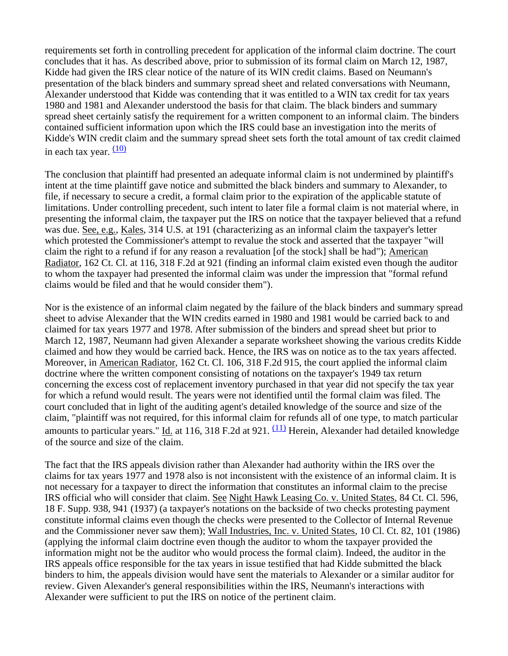requirements set forth in controlling precedent for application of the informal claim doctrine. The court concludes that it has. As described above, prior to submission of its formal claim on March 12, 1987, Kidde had given the IRS clear notice of the nature of its WIN credit claims. Based on Neumann's presentation of the black binders and summary spread sheet and related conversations with Neumann, Alexander understood that Kidde was contending that it was entitled to a WIN tax credit for tax years 1980 and 1981 and Alexander understood the basis for that claim. The black binders and summary spread sheet certainly satisfy the requirement for a written component to an informal claim. The binders contained sufficient information upon which the IRS could base an investigation into the merits of Kidde's WIN credit claim and the summary spread sheet sets forth the total amount of tax credit claimed in each tax year.  $(10)$ 

The conclusion that plaintiff had presented an adequate informal claim is not undermined by plaintiff's intent at the time plaintiff gave notice and submitted the black binders and summary to Alexander, to file, if necessary to secure a credit, a formal claim prior to the expiration of the applicable statute of limitations. Under controlling precedent, such intent to later file a formal claim is not material where, in presenting the informal claim, the taxpayer put the IRS on notice that the taxpayer believed that a refund was due. See, e.g., Kales, 314 U.S. at 191 (characterizing as an informal claim the taxpayer's letter which protested the Commissioner's attempt to revalue the stock and asserted that the taxpayer "will claim the right to a refund if for any reason a revaluation [of the stock] shall be had"); American Radiator, 162 Ct. Cl. at 116, 318 F.2d at 921 (finding an informal claim existed even though the auditor to whom the taxpayer had presented the informal claim was under the impression that "formal refund claims would be filed and that he would consider them").

Nor is the existence of an informal claim negated by the failure of the black binders and summary spread sheet to advise Alexander that the WIN credits earned in 1980 and 1981 would be carried back to and claimed for tax years 1977 and 1978. After submission of the binders and spread sheet but prior to March 12, 1987, Neumann had given Alexander a separate worksheet showing the various credits Kidde claimed and how they would be carried back. Hence, the IRS was on notice as to the tax years affected. Moreover, in American Radiator, 162 Ct. Cl. 106, 318 F.2d 915, the court applied the informal claim doctrine where the written component consisting of notations on the taxpayer's 1949 tax return concerning the excess cost of replacement inventory purchased in that year did not specify the tax year for which a refund would result. The years were not identified until the formal claim was filed. The court concluded that in light of the auditing agent's detailed knowledge of the source and size of the claim, "plaintiff was not required, for this informal claim for refunds all of one type, to match particular amounts to particular years." Id. at 116, 318 F.2d at 921.  $(11)$  Herein, Alexander had detailed knowledge of the source and size of the claim.

The fact that the IRS appeals division rather than Alexander had authority within the IRS over the claims for tax years 1977 and 1978 also is not inconsistent with the existence of an informal claim. It is not necessary for a taxpayer to direct the information that constitutes an informal claim to the precise IRS official who will consider that claim. See Night Hawk Leasing Co. v. United States, 84 Ct. Cl. 596, 18 F. Supp. 938, 941 (1937) (a taxpayer's notations on the backside of two checks protesting payment constitute informal claims even though the checks were presented to the Collector of Internal Revenue and the Commissioner never saw them); Wall Industries, Inc. v. United States, 10 Cl. Ct. 82, 101 (1986) (applying the informal claim doctrine even though the auditor to whom the taxpayer provided the information might not be the auditor who would process the formal claim). Indeed, the auditor in the IRS appeals office responsible for the tax years in issue testified that had Kidde submitted the black binders to him, the appeals division would have sent the materials to Alexander or a similar auditor for review. Given Alexander's general responsibilities within the IRS, Neumann's interactions with Alexander were sufficient to put the IRS on notice of the pertinent claim.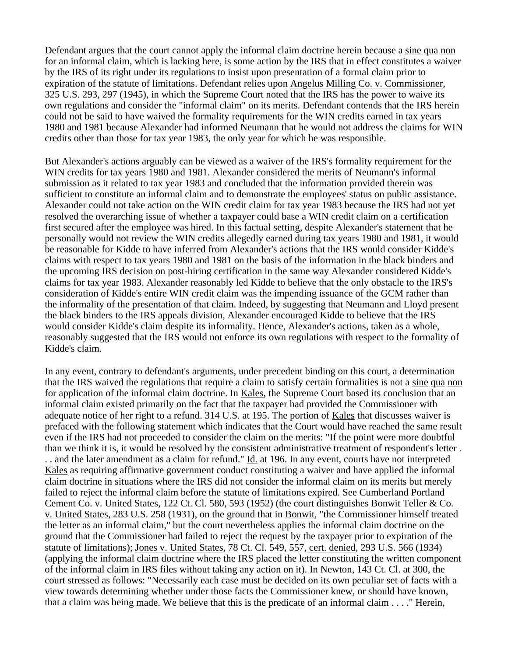Defendant argues that the court cannot apply the informal claim doctrine herein because a sine qua non for an informal claim, which is lacking here, is some action by the IRS that in effect constitutes a waiver by the IRS of its right under its regulations to insist upon presentation of a formal claim prior to expiration of the statute of limitations. Defendant relies upon Angelus Milling Co. v. Commissioner, 325 U.S. 293, 297 (1945), in which the Supreme Court noted that the IRS has the power to waive its own regulations and consider the "informal claim" on its merits. Defendant contends that the IRS herein could not be said to have waived the formality requirements for the WIN credits earned in tax years 1980 and 1981 because Alexander had informed Neumann that he would not address the claims for WIN credits other than those for tax year 1983, the only year for which he was responsible.

But Alexander's actions arguably can be viewed as a waiver of the IRS's formality requirement for the WIN credits for tax years 1980 and 1981. Alexander considered the merits of Neumann's informal submission as it related to tax year 1983 and concluded that the information provided therein was sufficient to constitute an informal claim and to demonstrate the employees' status on public assistance. Alexander could not take action on the WIN credit claim for tax year 1983 because the IRS had not yet resolved the overarching issue of whether a taxpayer could base a WIN credit claim on a certification first secured after the employee was hired. In this factual setting, despite Alexander's statement that he personally would not review the WIN credits allegedly earned during tax years 1980 and 1981, it would be reasonable for Kidde to have inferred from Alexander's actions that the IRS would consider Kidde's claims with respect to tax years 1980 and 1981 on the basis of the information in the black binders and the upcoming IRS decision on post-hiring certification in the same way Alexander considered Kidde's claims for tax year 1983. Alexander reasonably led Kidde to believe that the only obstacle to the IRS's consideration of Kidde's entire WIN credit claim was the impending issuance of the GCM rather than the informality of the presentation of that claim. Indeed, by suggesting that Neumann and Lloyd present the black binders to the IRS appeals division, Alexander encouraged Kidde to believe that the IRS would consider Kidde's claim despite its informality. Hence, Alexander's actions, taken as a whole, reasonably suggested that the IRS would not enforce its own regulations with respect to the formality of Kidde's claim.

In any event, contrary to defendant's arguments, under precedent binding on this court, a determination that the IRS waived the regulations that require a claim to satisfy certain formalities is not a sine qua non for application of the informal claim doctrine. In Kales, the Supreme Court based its conclusion that an informal claim existed primarily on the fact that the taxpayer had provided the Commissioner with adequate notice of her right to a refund. 314 U.S. at 195. The portion of Kales that discusses waiver is prefaced with the following statement which indicates that the Court would have reached the same result even if the IRS had not proceeded to consider the claim on the merits: "If the point were more doubtful than we think it is, it would be resolved by the consistent administrative treatment of respondent's letter . .. and the later amendment as a claim for refund." Id. at 196. In any event, courts have not interpreted Kales as requiring affirmative government conduct constituting a waiver and have applied the informal claim doctrine in situations where the IRS did not consider the informal claim on its merits but merely failed to reject the informal claim before the statute of limitations expired. See Cumberland Portland Cement Co. v. United States, 122 Ct. Cl. 580, 593 (1952) (the court distinguishes Bonwit Teller & Co. v. United States, 283 U.S. 258 (1931), on the ground that in Bonwit, "the Commissioner himself treated the letter as an informal claim," but the court nevertheless applies the informal claim doctrine on the ground that the Commissioner had failed to reject the request by the taxpayer prior to expiration of the statute of limitations); Jones v. United States, 78 Ct. Cl. 549, 557, cert. denied, 293 U.S. 566 (1934) (applying the informal claim doctrine where the IRS placed the letter constituting the written component of the informal claim in IRS files without taking any action on it). In Newton, 143 Ct. Cl. at 300, the court stressed as follows: "Necessarily each case must be decided on its own peculiar set of facts with a view towards determining whether under those facts the Commissioner knew, or should have known, that a claim was being made. We believe that this is the predicate of an informal claim . . . ." Herein,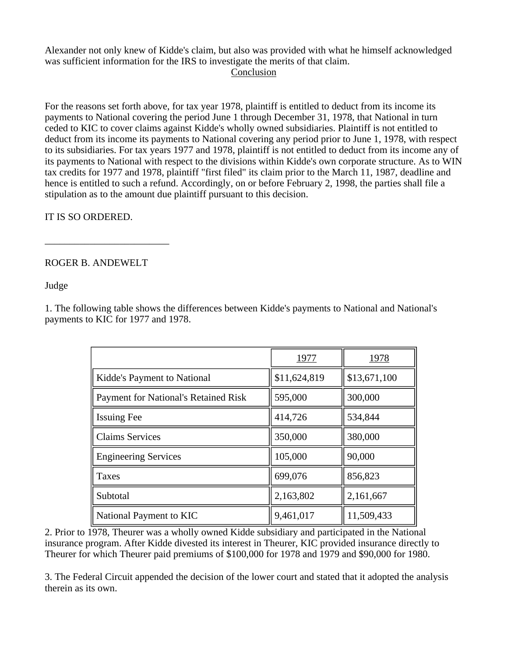Alexander not only knew of Kidde's claim, but also was provided with what he himself acknowledged was sufficient information for the IRS to investigate the merits of that claim.

## Conclusion

For the reasons set forth above, for tax year 1978, plaintiff is entitled to deduct from its income its payments to National covering the period June 1 through December 31, 1978, that National in turn ceded to KIC to cover claims against Kidde's wholly owned subsidiaries. Plaintiff is not entitled to deduct from its income its payments to National covering any period prior to June 1, 1978, with respect to its subsidiaries. For tax years 1977 and 1978, plaintiff is not entitled to deduct from its income any of its payments to National with respect to the divisions within Kidde's own corporate structure. As to WIN tax credits for 1977 and 1978, plaintiff "first filed" its claim prior to the March 11, 1987, deadline and hence is entitled to such a refund. Accordingly, on or before February 2, 1998, the parties shall file a stipulation as to the amount due plaintiff pursuant to this decision.

IT IS SO ORDERED.

ROGER B. ANDEWELT

\_\_\_\_\_\_\_\_\_\_\_\_\_\_\_\_\_\_\_\_\_\_\_\_\_

Judge

1. The following table shows the differences between Kidde's payments to National and National's payments to KIC for 1977 and 1978.

|                                             | 1977         | 1978         |
|---------------------------------------------|--------------|--------------|
| Kidde's Payment to National                 | \$11,624,819 | \$13,671,100 |
| <b>Payment for National's Retained Risk</b> | 595,000      | 300,000      |
| <b>Issuing Fee</b>                          | 414,726      | 534,844      |
| <b>Claims Services</b>                      | 350,000      | 380,000      |
| <b>Engineering Services</b>                 | 105,000      | 90,000       |
| Taxes                                       | 699,076      | 856,823      |
| Subtotal                                    | 2,163,802    | 2,161,667    |
| National Payment to KIC                     | 9,461,017    | 11,509,433   |

2. Prior to 1978, Theurer was a wholly owned Kidde subsidiary and participated in the National insurance program. After Kidde divested its interest in Theurer, KIC provided insurance directly to Theurer for which Theurer paid premiums of \$100,000 for 1978 and 1979 and \$90,000 for 1980.

3. The Federal Circuit appended the decision of the lower court and stated that it adopted the analysis therein as its own.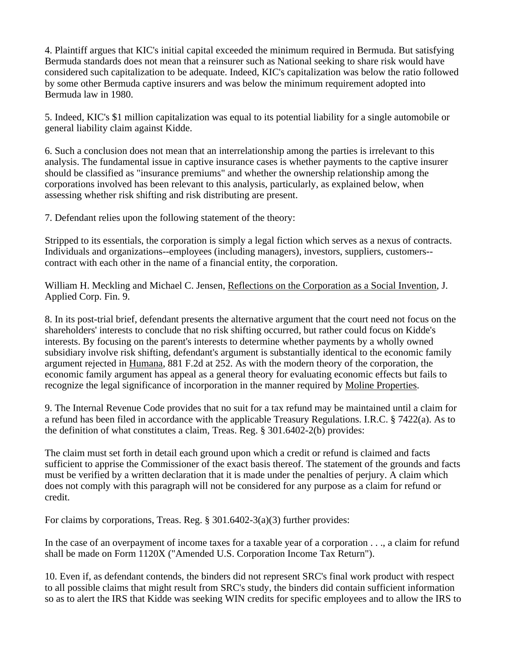4. Plaintiff argues that KIC's initial capital exceeded the minimum required in Bermuda. But satisfying Bermuda standards does not mean that a reinsurer such as National seeking to share risk would have considered such capitalization to be adequate. Indeed, KIC's capitalization was below the ratio followed by some other Bermuda captive insurers and was below the minimum requirement adopted into Bermuda law in 1980.

5. Indeed, KIC's \$1 million capitalization was equal to its potential liability for a single automobile or general liability claim against Kidde.

6. Such a conclusion does not mean that an interrelationship among the parties is irrelevant to this analysis. The fundamental issue in captive insurance cases is whether payments to the captive insurer should be classified as "insurance premiums" and whether the ownership relationship among the corporations involved has been relevant to this analysis, particularly, as explained below, when assessing whether risk shifting and risk distributing are present.

7. Defendant relies upon the following statement of the theory:

Stripped to its essentials, the corporation is simply a legal fiction which serves as a nexus of contracts. Individuals and organizations--employees (including managers), investors, suppliers, customers- contract with each other in the name of a financial entity, the corporation.

William H. Meckling and Michael C. Jensen, Reflections on the Corporation as a Social Invention, J. Applied Corp. Fin. 9.

8. In its post-trial brief, defendant presents the alternative argument that the court need not focus on the shareholders' interests to conclude that no risk shifting occurred, but rather could focus on Kidde's interests. By focusing on the parent's interests to determine whether payments by a wholly owned subsidiary involve risk shifting, defendant's argument is substantially identical to the economic family argument rejected in Humana, 881 F.2d at 252. As with the modern theory of the corporation, the economic family argument has appeal as a general theory for evaluating economic effects but fails to recognize the legal significance of incorporation in the manner required by Moline Properties.

9. The Internal Revenue Code provides that no suit for a tax refund may be maintained until a claim for a refund has been filed in accordance with the applicable Treasury Regulations. I.R.C. § 7422(a). As to the definition of what constitutes a claim, Treas. Reg. § 301.6402-2(b) provides:

The claim must set forth in detail each ground upon which a credit or refund is claimed and facts sufficient to apprise the Commissioner of the exact basis thereof. The statement of the grounds and facts must be verified by a written declaration that it is made under the penalties of perjury. A claim which does not comply with this paragraph will not be considered for any purpose as a claim for refund or credit.

For claims by corporations, Treas. Reg. § 301.6402-3(a)(3) further provides:

In the case of an overpayment of income taxes for a taxable year of a corporation . . ., a claim for refund shall be made on Form 1120X ("Amended U.S. Corporation Income Tax Return").

10. Even if, as defendant contends, the binders did not represent SRC's final work product with respect to all possible claims that might result from SRC's study, the binders did contain sufficient information so as to alert the IRS that Kidde was seeking WIN credits for specific employees and to allow the IRS to